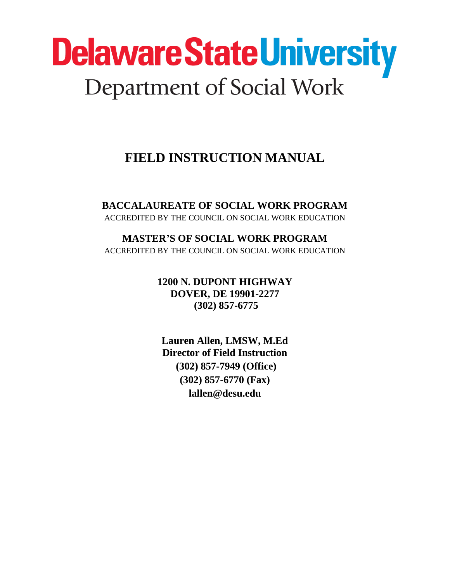# **Delaware State University** Department of Social Work

# **FIELD INSTRUCTION MANUAL**

**BACCALAUREATE OF SOCIAL WORK PROGRAM** ACCREDITED BY THE COUNCIL ON SOCIAL WORK EDUCATION

**MASTER'S OF SOCIAL WORK PROGRAM** ACCREDITED BY THE COUNCIL ON SOCIAL WORK EDUCATION

> **1200 N. DUPONT HIGHWAY DOVER, DE 19901-2277 (302) 857-6775**

**Lauren Allen, LMSW, M.Ed Director of Field Instruction (302) 857-7949 (Office) (302) 857-6770 (Fax) lallen@desu.edu**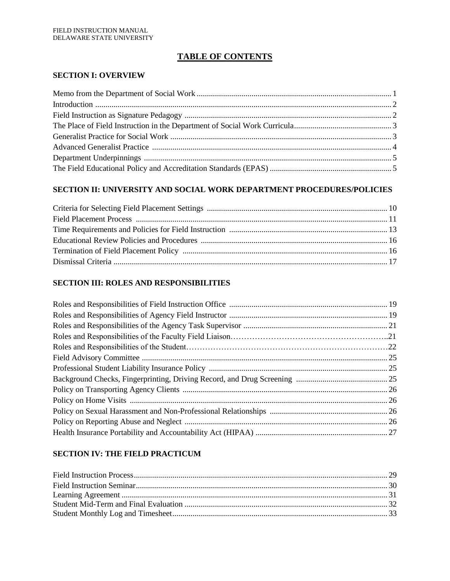# **TABLE OF CONTENTS**

#### **SECTION I: OVERVIEW**

#### **SECTION II: UNIVERSITY AND SOCIAL WORK DEPARTMENT PROCEDURES/POLICIES**

#### **SECTION III: ROLES AND RESPONSIBILITIES**

#### **SECTION IV: THE FIELD PRACTICUM**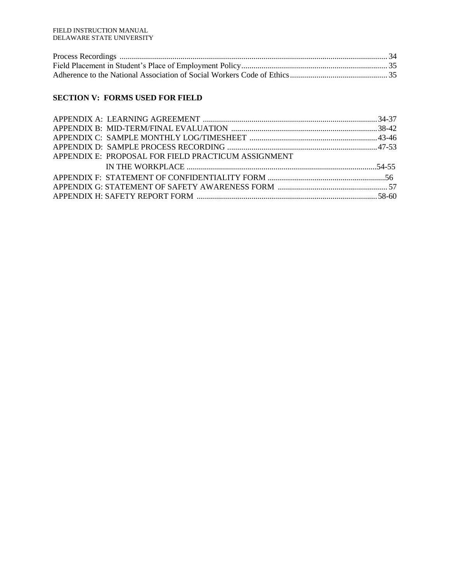#### **SECTION V: FORMS USED FOR FIELD**

| APPENDIX E: PROPOSAL FOR FIELD PRACTICUM ASSIGNMENT |  |
|-----------------------------------------------------|--|
|                                                     |  |
|                                                     |  |
|                                                     |  |
|                                                     |  |
|                                                     |  |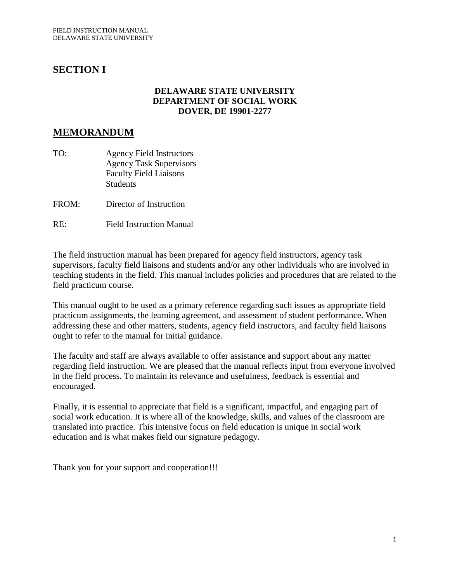# **SECTION I**

# **DELAWARE STATE UNIVERSITY DEPARTMENT OF SOCIAL WORK DOVER, DE 19901-2277**

# **MEMORANDUM**

- TO: Agency Field Instructors Agency Task Supervisors Faculty Field Liaisons **Students**
- FROM: Director of Instruction
- RE: Field Instruction Manual

The field instruction manual has been prepared for agency field instructors, agency task supervisors, faculty field liaisons and students and/or any other individuals who are involved in teaching students in the field. This manual includes policies and procedures that are related to the field practicum course.

This manual ought to be used as a primary reference regarding such issues as appropriate field practicum assignments, the learning agreement, and assessment of student performance. When addressing these and other matters, students, agency field instructors, and faculty field liaisons ought to refer to the manual for initial guidance.

The faculty and staff are always available to offer assistance and support about any matter regarding field instruction. We are pleased that the manual reflects input from everyone involved in the field process. To maintain its relevance and usefulness, feedback is essential and encouraged.

Finally, it is essential to appreciate that field is a significant, impactful, and engaging part of social work education. It is where all of the knowledge, skills, and values of the classroom are translated into practice. This intensive focus on field education is unique in social work education and is what makes field our signature pedagogy.

Thank you for your support and cooperation!!!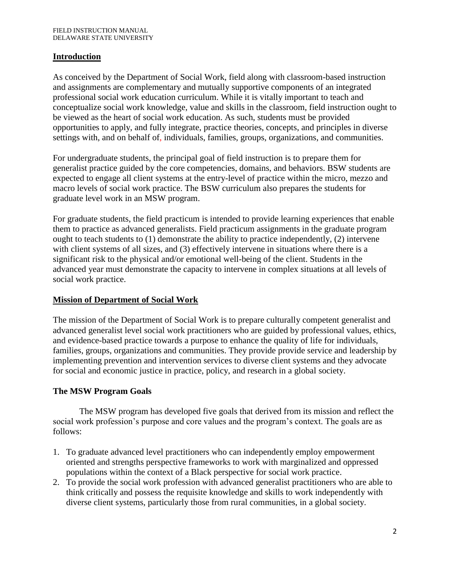#### **Introduction**

As conceived by the Department of Social Work, field along with classroom-based instruction and assignments are complementary and mutually supportive components of an integrated professional social work education curriculum. While it is vitally important to teach and conceptualize social work knowledge, value and skills in the classroom, field instruction ought to be viewed as the heart of social work education. As such, students must be provided opportunities to apply, and fully integrate, practice theories, concepts, and principles in diverse settings with, and on behalf of, individuals, families, groups, organizations, and communities.

For undergraduate students, the principal goal of field instruction is to prepare them for generalist practice guided by the core competencies, domains, and behaviors. BSW students are expected to engage all client systems at the entry-level of practice within the micro, mezzo and macro levels of social work practice. The BSW curriculum also prepares the students for graduate level work in an MSW program.

For graduate students, the field practicum is intended to provide learning experiences that enable them to practice as advanced generalists. Field practicum assignments in the graduate program ought to teach students to (1) demonstrate the ability to practice independently, (2) intervene with client systems of all sizes, and (3) effectively intervene in situations where there is a significant risk to the physical and/or emotional well-being of the client. Students in the advanced year must demonstrate the capacity to intervene in complex situations at all levels of social work practice.

#### **Mission of Department of Social Work**

The mission of the Department of Social Work is to prepare culturally competent generalist and advanced generalist level social work practitioners who are guided by professional values, ethics, and evidence-based practice towards a purpose to enhance the quality of life for individuals, families, groups, organizations and communities. They provide provide service and leadership by implementing prevention and intervention services to diverse client systems and they advocate for social and economic justice in practice, policy, and research in a global society.

#### **The MSW Program Goals**

The MSW program has developed five goals that derived from its mission and reflect the social work profession's purpose and core values and the program's context. The goals are as follows:

- 1. To graduate advanced level practitioners who can independently employ empowerment oriented and strengths perspective frameworks to work with marginalized and oppressed populations within the context of a Black perspective for social work practice.
- 2. To provide the social work profession with advanced generalist practitioners who are able to think critically and possess the requisite knowledge and skills to work independently with diverse client systems, particularly those from rural communities, in a global society.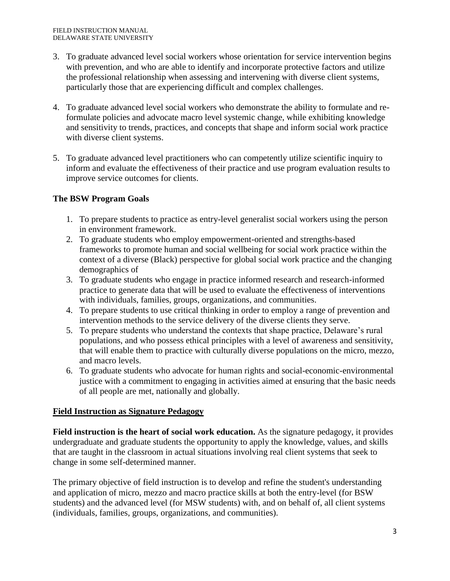- 3. To graduate advanced level social workers whose orientation for service intervention begins with prevention, and who are able to identify and incorporate protective factors and utilize the professional relationship when assessing and intervening with diverse client systems, particularly those that are experiencing difficult and complex challenges.
- 4. To graduate advanced level social workers who demonstrate the ability to formulate and reformulate policies and advocate macro level systemic change, while exhibiting knowledge and sensitivity to trends, practices, and concepts that shape and inform social work practice with diverse client systems.
- 5. To graduate advanced level practitioners who can competently utilize scientific inquiry to inform and evaluate the effectiveness of their practice and use program evaluation results to improve service outcomes for clients.

#### **The BSW Program Goals**

- 1. To prepare students to practice as entry-level generalist social workers using the person in environment framework.
- 2. To graduate students who employ empowerment-oriented and strengths-based frameworks to promote human and social wellbeing for social work practice within the context of a diverse (Black) perspective for global social work practice and the changing demographics of
- 3. To graduate students who engage in practice informed research and research-informed practice to generate data that will be used to evaluate the effectiveness of interventions with individuals, families, groups, organizations, and communities.
- 4. To prepare students to use critical thinking in order to employ a range of prevention and intervention methods to the service delivery of the diverse clients they serve.
- 5. To prepare students who understand the contexts that shape practice, Delaware's rural populations, and who possess ethical principles with a level of awareness and sensitivity, that will enable them to practice with culturally diverse populations on the micro, mezzo, and macro levels.
- 6. To graduate students who advocate for human rights and social-economic-environmental justice with a commitment to engaging in activities aimed at ensuring that the basic needs of all people are met, nationally and globally.

#### **Field Instruction as Signature Pedagogy**

**Field instruction is the heart of social work education.** As the signature pedagogy, it provides undergraduate and graduate students the opportunity to apply the knowledge, values, and skills that are taught in the classroom in actual situations involving real client systems that seek to change in some self-determined manner.

The primary objective of field instruction is to develop and refine the student's understanding and application of micro, mezzo and macro practice skills at both the entry-level (for BSW students) and the advanced level (for MSW students) with, and on behalf of, all client systems (individuals, families, groups, organizations, and communities).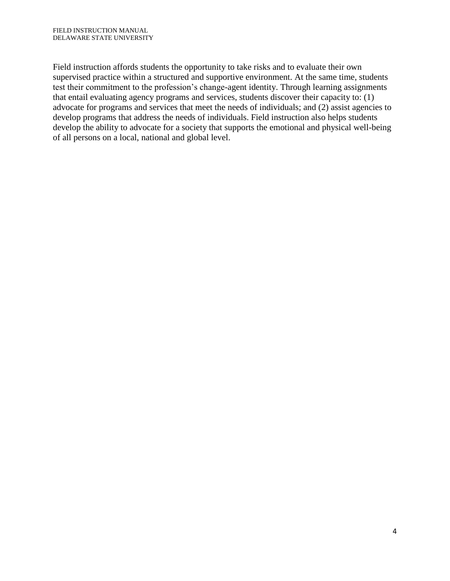Field instruction affords students the opportunity to take risks and to evaluate their own supervised practice within a structured and supportive environment. At the same time, students test their commitment to the profession's change-agent identity. Through learning assignments that entail evaluating agency programs and services, students discover their capacity to: (1) advocate for programs and services that meet the needs of individuals; and (2) assist agencies to develop programs that address the needs of individuals. Field instruction also helps students develop the ability to advocate for a society that supports the emotional and physical well-being of all persons on a local, national and global level.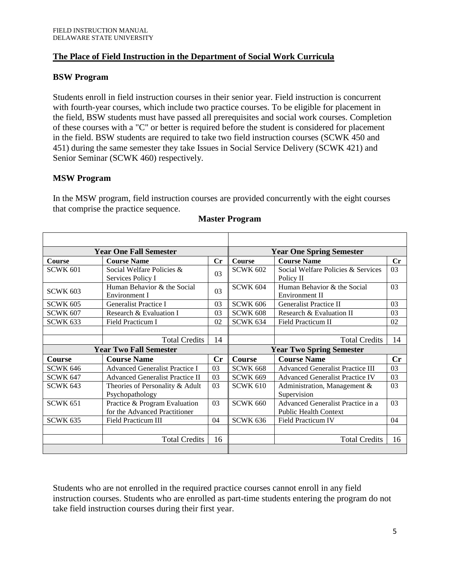#### **The Place of Field Instruction in the Department of Social Work Curricula**

#### **BSW Program**

Students enroll in field instruction courses in their senior year. Field instruction is concurrent with fourth-year courses, which include two practice courses. To be eligible for placement in the field, BSW students must have passed all prerequisites and social work courses. Completion of these courses with a "C" or better is required before the student is considered for placement in the field. BSW students are required to take two field instruction courses (SCWK 450 and 451) during the same semester they take Issues in Social Service Delivery (SCWK 421) and Senior Seminar (SCWK 460) respectively.

#### **MSW Program**

In the MSW program, field instruction courses are provided concurrently with the eight courses that comprise the practice sequence.

| <b>Year One Fall Semester</b> |                                                                |                | <b>Year One Spring Semester</b> |                                                                   |    |
|-------------------------------|----------------------------------------------------------------|----------------|---------------------------------|-------------------------------------------------------------------|----|
| <b>Course</b>                 | <b>Course Name</b>                                             | $C_{r}$        | <b>Course</b>                   | <b>Course Name</b>                                                | Cr |
| <b>SCWK 601</b>               | Social Welfare Policies &<br>Services Policy I                 | 03             | <b>SCWK 602</b>                 | Social Welfare Policies & Services<br>Policy II                   | 03 |
| <b>SCWK 603</b>               | Human Behavior & the Social<br>Environment I                   | 03             | <b>SCWK 604</b>                 | Human Behavior & the Social<br>Environment II                     | 03 |
| <b>SCWK 605</b>               | Generalist Practice I                                          | 03             | <b>SCWK 606</b>                 | Generalist Practice II                                            | 03 |
| <b>SCWK 607</b>               | Research & Evaluation I                                        | 03             | <b>SCWK 608</b>                 | 03<br>Research & Evaluation II                                    |    |
| <b>SCWK 633</b>               | Field Practicum I                                              | 02             | <b>SCWK 634</b>                 | Field Practicum II                                                |    |
|                               |                                                                |                |                                 |                                                                   |    |
|                               | <b>Total Credits</b>                                           | 14             |                                 | <b>Total Credits</b>                                              | 14 |
| <b>Year Two Fall Semester</b> |                                                                |                | <b>Year Two Spring Semester</b> |                                                                   |    |
|                               |                                                                | $\mathbf{C}$ r | <b>Course</b>                   | <b>Course Name</b>                                                | Cr |
| Course                        | <b>Course Name</b>                                             |                |                                 |                                                                   |    |
| <b>SCWK 646</b>               | Advanced Generalist Practice I                                 | 03             | <b>SCWK 668</b>                 | <b>Advanced Generalist Practice III</b>                           | 03 |
| <b>SCWK 647</b>               | Advanced Generalist Practice II                                | 03             | <b>SCWK 669</b>                 | <b>Advanced Generalist Practice IV</b>                            | 03 |
| <b>SCWK 643</b>               | Theories of Personality & Adult<br>Psychopathology             | 03             | <b>SCWK 610</b>                 | Administration, Management &<br>Supervision                       | 03 |
| <b>SCWK 651</b>               | Practice & Program Evaluation<br>for the Advanced Practitioner | 03             | <b>SCWK 660</b>                 | Advanced Generalist Practice in a<br><b>Public Health Context</b> | 03 |
| <b>SCWK 635</b>               | <b>Field Practicum III</b>                                     | 04             | <b>SCWK 636</b>                 | <b>Field Practicum IV</b>                                         | 04 |
|                               |                                                                |                |                                 |                                                                   |    |
|                               | <b>Total Credits</b>                                           | 16             |                                 | <b>Total Credits</b>                                              | 16 |

#### **Master Program**

Students who are not enrolled in the required practice courses cannot enroll in any field instruction courses. Students who are enrolled as part-time students entering the program do not take field instruction courses during their first year.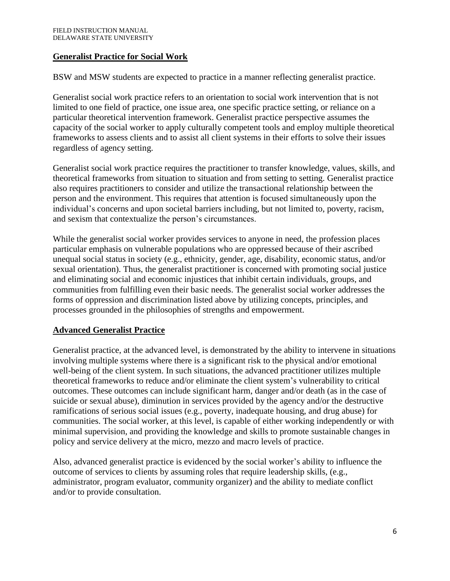#### **Generalist Practice for Social Work**

BSW and MSW students are expected to practice in a manner reflecting generalist practice.

Generalist social work practice refers to an orientation to social work intervention that is not limited to one field of practice, one issue area, one specific practice setting, or reliance on a particular theoretical intervention framework. Generalist practice perspective assumes the capacity of the social worker to apply culturally competent tools and employ multiple theoretical frameworks to assess clients and to assist all client systems in their efforts to solve their issues regardless of agency setting.

Generalist social work practice requires the practitioner to transfer knowledge, values, skills, and theoretical frameworks from situation to situation and from setting to setting. Generalist practice also requires practitioners to consider and utilize the transactional relationship between the person and the environment. This requires that attention is focused simultaneously upon the individual's concerns and upon societal barriers including, but not limited to, poverty, racism, and sexism that contextualize the person's circumstances.

While the generalist social worker provides services to anyone in need, the profession places particular emphasis on vulnerable populations who are oppressed because of their ascribed unequal social status in society (e.g., ethnicity, gender, age, disability, economic status, and/or sexual orientation). Thus, the generalist practitioner is concerned with promoting social justice and eliminating social and economic injustices that inhibit certain individuals, groups, and communities from fulfilling even their basic needs. The generalist social worker addresses the forms of oppression and discrimination listed above by utilizing concepts, principles, and processes grounded in the philosophies of strengths and empowerment.

#### **Advanced Generalist Practice**

Generalist practice, at the advanced level, is demonstrated by the ability to intervene in situations involving multiple systems where there is a significant risk to the physical and/or emotional well-being of the client system. In such situations, the advanced practitioner utilizes multiple theoretical frameworks to reduce and/or eliminate the client system's vulnerability to critical outcomes. These outcomes can include significant harm, danger and/or death (as in the case of suicide or sexual abuse), diminution in services provided by the agency and/or the destructive ramifications of serious social issues (e.g., poverty, inadequate housing, and drug abuse) for communities. The social worker, at this level, is capable of either working independently or with minimal supervision, and providing the knowledge and skills to promote sustainable changes in policy and service delivery at the micro, mezzo and macro levels of practice.

Also, advanced generalist practice is evidenced by the social worker's ability to influence the outcome of services to clients by assuming roles that require leadership skills, (e.g., administrator, program evaluator, community organizer) and the ability to mediate conflict and/or to provide consultation.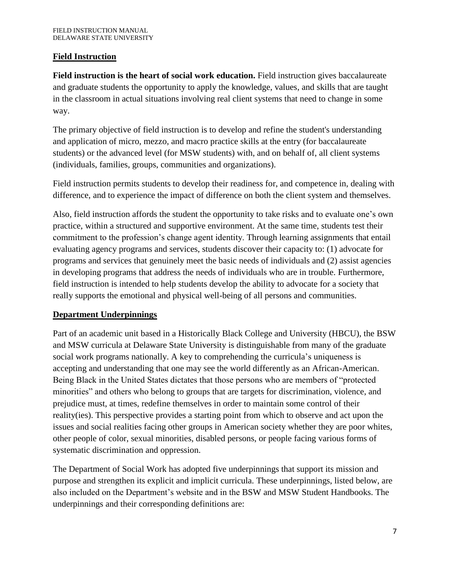# **Field Instruction**

**Field instruction is the heart of social work education.** Field instruction gives baccalaureate and graduate students the opportunity to apply the knowledge, values, and skills that are taught in the classroom in actual situations involving real client systems that need to change in some way.

The primary objective of field instruction is to develop and refine the student's understanding and application of micro, mezzo, and macro practice skills at the entry (for baccalaureate students) or the advanced level (for MSW students) with, and on behalf of, all client systems (individuals, families, groups, communities and organizations).

Field instruction permits students to develop their readiness for, and competence in, dealing with difference, and to experience the impact of difference on both the client system and themselves.

Also, field instruction affords the student the opportunity to take risks and to evaluate one's own practice, within a structured and supportive environment. At the same time, students test their commitment to the profession's change agent identity. Through learning assignments that entail evaluating agency programs and services, students discover their capacity to: (1) advocate for programs and services that genuinely meet the basic needs of individuals and (2) assist agencies in developing programs that address the needs of individuals who are in trouble. Furthermore, field instruction is intended to help students develop the ability to advocate for a society that really supports the emotional and physical well-being of all persons and communities.

# **Department Underpinnings**

Part of an academic unit based in a Historically Black College and University (HBCU), the BSW and MSW curricula at Delaware State University is distinguishable from many of the graduate social work programs nationally. A key to comprehending the curricula's uniqueness is accepting and understanding that one may see the world differently as an African-American. Being Black in the United States dictates that those persons who are members of "protected minorities" and others who belong to groups that are targets for discrimination, violence, and prejudice must, at times, redefine themselves in order to maintain some control of their reality(ies). This perspective provides a starting point from which to observe and act upon the issues and social realities facing other groups in American society whether they are poor whites, other people of color, sexual minorities, disabled persons, or people facing various forms of systematic discrimination and oppression.

The Department of Social Work has adopted five underpinnings that support its mission and purpose and strengthen its explicit and implicit curricula. These underpinnings, listed below, are also included on the Department's website and in the BSW and MSW Student Handbooks. The underpinnings and their corresponding definitions are: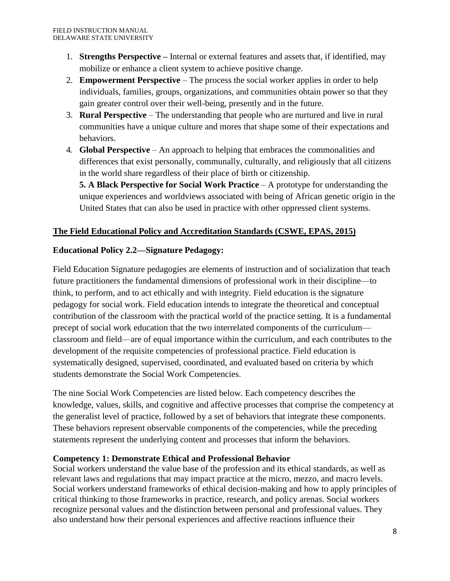- 1. **Strengths Perspective –** Internal or external features and assets that, if identified, may mobilize or enhance a client system to achieve positive change.
- 2. **Empowerment Perspective** The process the social worker applies in order to help individuals, families, groups, organizations, and communities obtain power so that they gain greater control over their well-being, presently and in the future.
- 3. **Rural Perspective** The understanding that people who are nurtured and live in rural communities have a unique culture and mores that shape some of their expectations and behaviors.
- 4. **Global Perspective**  An approach to helping that embraces the commonalities and differences that exist personally, communally, culturally, and religiously that all citizens in the world share regardless of their place of birth or citizenship.

**5. A Black Perspective for Social Work Practice** – A prototype for understanding the unique experiences and worldviews associated with being of African genetic origin in the United States that can also be used in practice with other oppressed client systems.

# **The Field Educational Policy and Accreditation Standards (CSWE, EPAS, 2015)**

# **Educational Policy 2.2—Signature Pedagogy:**

Field Education Signature pedagogies are elements of instruction and of socialization that teach future practitioners the fundamental dimensions of professional work in their discipline—to think, to perform, and to act ethically and with integrity. Field education is the signature pedagogy for social work. Field education intends to integrate the theoretical and conceptual contribution of the classroom with the practical world of the practice setting. It is a fundamental precept of social work education that the two interrelated components of the curriculum classroom and field—are of equal importance within the curriculum, and each contributes to the development of the requisite competencies of professional practice. Field education is systematically designed, supervised, coordinated, and evaluated based on criteria by which students demonstrate the Social Work Competencies.

The nine Social Work Competencies are listed below. Each competency describes the knowledge, values, skills, and cognitive and affective processes that comprise the competency at the generalist level of practice, followed by a set of behaviors that integrate these components. These behaviors represent observable components of the competencies, while the preceding statements represent the underlying content and processes that inform the behaviors.

#### **Competency 1: Demonstrate Ethical and Professional Behavior**

Social workers understand the value base of the profession and its ethical standards, as well as relevant laws and regulations that may impact practice at the micro, mezzo, and macro levels. Social workers understand frameworks of ethical decision-making and how to apply principles of critical thinking to those frameworks in practice, research, and policy arenas. Social workers recognize personal values and the distinction between personal and professional values. They also understand how their personal experiences and affective reactions influence their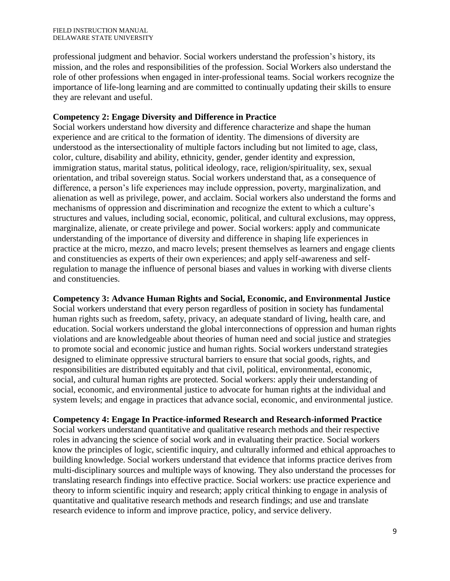professional judgment and behavior. Social workers understand the profession's history, its mission, and the roles and responsibilities of the profession. Social Workers also understand the role of other professions when engaged in inter-professional teams. Social workers recognize the importance of life-long learning and are committed to continually updating their skills to ensure they are relevant and useful.

#### **Competency 2: Engage Diversity and Difference in Practice**

Social workers understand how diversity and difference characterize and shape the human experience and are critical to the formation of identity. The dimensions of diversity are understood as the intersectionality of multiple factors including but not limited to age, class, color, culture, disability and ability, ethnicity, gender, gender identity and expression, immigration status, marital status, political ideology, race, religion/spirituality, sex, sexual orientation, and tribal sovereign status. Social workers understand that, as a consequence of difference, a person's life experiences may include oppression, poverty, marginalization, and alienation as well as privilege, power, and acclaim. Social workers also understand the forms and mechanisms of oppression and discrimination and recognize the extent to which a culture's structures and values, including social, economic, political, and cultural exclusions, may oppress, marginalize, alienate, or create privilege and power. Social workers: apply and communicate understanding of the importance of diversity and difference in shaping life experiences in practice at the micro, mezzo, and macro levels; present themselves as learners and engage clients and constituencies as experts of their own experiences; and apply self-awareness and selfregulation to manage the influence of personal biases and values in working with diverse clients and constituencies.

**Competency 3: Advance Human Rights and Social, Economic, and Environmental Justice** 

Social workers understand that every person regardless of position in society has fundamental human rights such as freedom, safety, privacy, an adequate standard of living, health care, and education. Social workers understand the global interconnections of oppression and human rights violations and are knowledgeable about theories of human need and social justice and strategies to promote social and economic justice and human rights. Social workers understand strategies designed to eliminate oppressive structural barriers to ensure that social goods, rights, and responsibilities are distributed equitably and that civil, political, environmental, economic, social, and cultural human rights are protected. Social workers: apply their understanding of social, economic, and environmental justice to advocate for human rights at the individual and system levels; and engage in practices that advance social, economic, and environmental justice.

**Competency 4: Engage In Practice-informed Research and Research-informed Practice** 

Social workers understand quantitative and qualitative research methods and their respective roles in advancing the science of social work and in evaluating their practice. Social workers know the principles of logic, scientific inquiry, and culturally informed and ethical approaches to building knowledge. Social workers understand that evidence that informs practice derives from multi-disciplinary sources and multiple ways of knowing. They also understand the processes for translating research findings into effective practice. Social workers: use practice experience and theory to inform scientific inquiry and research; apply critical thinking to engage in analysis of quantitative and qualitative research methods and research findings; and use and translate research evidence to inform and improve practice, policy, and service delivery.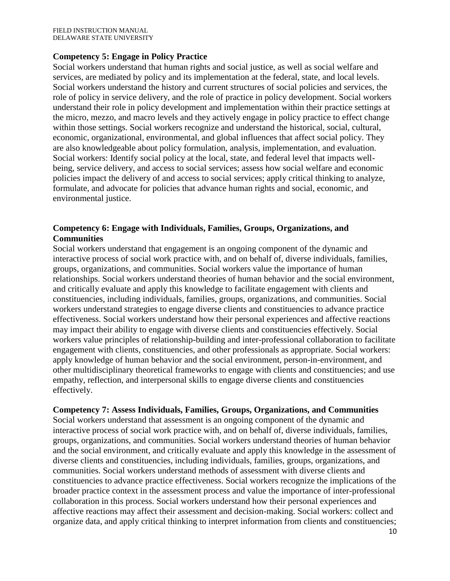#### **Competency 5: Engage in Policy Practice**

Social workers understand that human rights and social justice, as well as social welfare and services, are mediated by policy and its implementation at the federal, state, and local levels. Social workers understand the history and current structures of social policies and services, the role of policy in service delivery, and the role of practice in policy development. Social workers understand their role in policy development and implementation within their practice settings at the micro, mezzo, and macro levels and they actively engage in policy practice to effect change within those settings. Social workers recognize and understand the historical, social, cultural, economic, organizational, environmental, and global influences that affect social policy. They are also knowledgeable about policy formulation, analysis, implementation, and evaluation. Social workers: Identify social policy at the local, state, and federal level that impacts wellbeing, service delivery, and access to social services; assess how social welfare and economic policies impact the delivery of and access to social services; apply critical thinking to analyze, formulate, and advocate for policies that advance human rights and social, economic, and environmental justice.

#### **Competency 6: Engage with Individuals, Families, Groups, Organizations, and Communities**

Social workers understand that engagement is an ongoing component of the dynamic and interactive process of social work practice with, and on behalf of, diverse individuals, families, groups, organizations, and communities. Social workers value the importance of human relationships. Social workers understand theories of human behavior and the social environment, and critically evaluate and apply this knowledge to facilitate engagement with clients and constituencies, including individuals, families, groups, organizations, and communities. Social workers understand strategies to engage diverse clients and constituencies to advance practice effectiveness. Social workers understand how their personal experiences and affective reactions may impact their ability to engage with diverse clients and constituencies effectively. Social workers value principles of relationship-building and inter-professional collaboration to facilitate engagement with clients, constituencies, and other professionals as appropriate. Social workers: apply knowledge of human behavior and the social environment, person-in-environment, and other multidisciplinary theoretical frameworks to engage with clients and constituencies; and use empathy, reflection, and interpersonal skills to engage diverse clients and constituencies effectively.

#### **Competency 7: Assess Individuals, Families, Groups, Organizations, and Communities**

Social workers understand that assessment is an ongoing component of the dynamic and interactive process of social work practice with, and on behalf of, diverse individuals, families, groups, organizations, and communities. Social workers understand theories of human behavior and the social environment, and critically evaluate and apply this knowledge in the assessment of diverse clients and constituencies, including individuals, families, groups, organizations, and communities. Social workers understand methods of assessment with diverse clients and constituencies to advance practice effectiveness. Social workers recognize the implications of the broader practice context in the assessment process and value the importance of inter-professional collaboration in this process. Social workers understand how their personal experiences and affective reactions may affect their assessment and decision-making. Social workers: collect and organize data, and apply critical thinking to interpret information from clients and constituencies;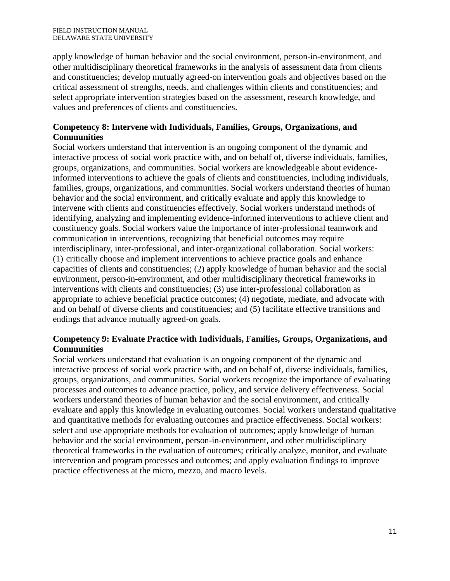apply knowledge of human behavior and the social environment, person-in-environment, and other multidisciplinary theoretical frameworks in the analysis of assessment data from clients and constituencies; develop mutually agreed-on intervention goals and objectives based on the critical assessment of strengths, needs, and challenges within clients and constituencies; and select appropriate intervention strategies based on the assessment, research knowledge, and values and preferences of clients and constituencies.

#### **Competency 8: Intervene with Individuals, Families, Groups, Organizations, and Communities**

Social workers understand that intervention is an ongoing component of the dynamic and interactive process of social work practice with, and on behalf of, diverse individuals, families, groups, organizations, and communities. Social workers are knowledgeable about evidenceinformed interventions to achieve the goals of clients and constituencies, including individuals, families, groups, organizations, and communities. Social workers understand theories of human behavior and the social environment, and critically evaluate and apply this knowledge to intervene with clients and constituencies effectively. Social workers understand methods of identifying, analyzing and implementing evidence-informed interventions to achieve client and constituency goals. Social workers value the importance of inter-professional teamwork and communication in interventions, recognizing that beneficial outcomes may require interdisciplinary, inter-professional, and inter-organizational collaboration. Social workers: (1) critically choose and implement interventions to achieve practice goals and enhance capacities of clients and constituencies; (2) apply knowledge of human behavior and the social environment, person-in-environment, and other multidisciplinary theoretical frameworks in interventions with clients and constituencies; (3) use inter-professional collaboration as appropriate to achieve beneficial practice outcomes; (4) negotiate, mediate, and advocate with and on behalf of diverse clients and constituencies; and (5) facilitate effective transitions and endings that advance mutually agreed-on goals.

#### **Competency 9: Evaluate Practice with Individuals, Families, Groups, Organizations, and Communities**

Social workers understand that evaluation is an ongoing component of the dynamic and interactive process of social work practice with, and on behalf of, diverse individuals, families, groups, organizations, and communities. Social workers recognize the importance of evaluating processes and outcomes to advance practice, policy, and service delivery effectiveness. Social workers understand theories of human behavior and the social environment, and critically evaluate and apply this knowledge in evaluating outcomes. Social workers understand qualitative and quantitative methods for evaluating outcomes and practice effectiveness. Social workers: select and use appropriate methods for evaluation of outcomes; apply knowledge of human behavior and the social environment, person-in-environment, and other multidisciplinary theoretical frameworks in the evaluation of outcomes; critically analyze, monitor, and evaluate intervention and program processes and outcomes; and apply evaluation findings to improve practice effectiveness at the micro, mezzo, and macro levels.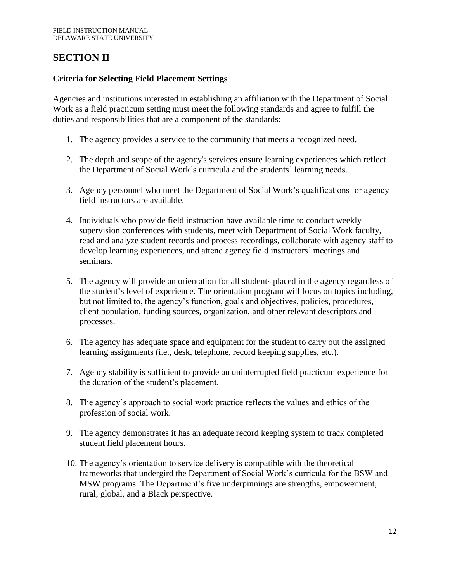# **SECTION II**

# **Criteria for Selecting Field Placement Settings**

Agencies and institutions interested in establishing an affiliation with the Department of Social Work as a field practicum setting must meet the following standards and agree to fulfill the duties and responsibilities that are a component of the standards:

- 1. The agency provides a service to the community that meets a recognized need.
- 2. The depth and scope of the agency's services ensure learning experiences which reflect the Department of Social Work's curricula and the students' learning needs.
- 3. Agency personnel who meet the Department of Social Work's qualifications for agency field instructors are available.
- 4. Individuals who provide field instruction have available time to conduct weekly supervision conferences with students, meet with Department of Social Work faculty, read and analyze student records and process recordings, collaborate with agency staff to develop learning experiences, and attend agency field instructors' meetings and seminars.
- 5. The agency will provide an orientation for all students placed in the agency regardless of the student's level of experience. The orientation program will focus on topics including, but not limited to, the agency's function, goals and objectives, policies, procedures, client population, funding sources, organization, and other relevant descriptors and processes.
- 6. The agency has adequate space and equipment for the student to carry out the assigned learning assignments (i.e., desk, telephone, record keeping supplies, etc.).
- 7. Agency stability is sufficient to provide an uninterrupted field practicum experience for the duration of the student's placement.
- 8. The agency's approach to social work practice reflects the values and ethics of the profession of social work.
- 9. The agency demonstrates it has an adequate record keeping system to track completed student field placement hours.
- 10. The agency's orientation to service delivery is compatible with the theoretical frameworks that undergird the Department of Social Work's curricula for the BSW and MSW programs. The Department's five underpinnings are strengths, empowerment, rural, global, and a Black perspective.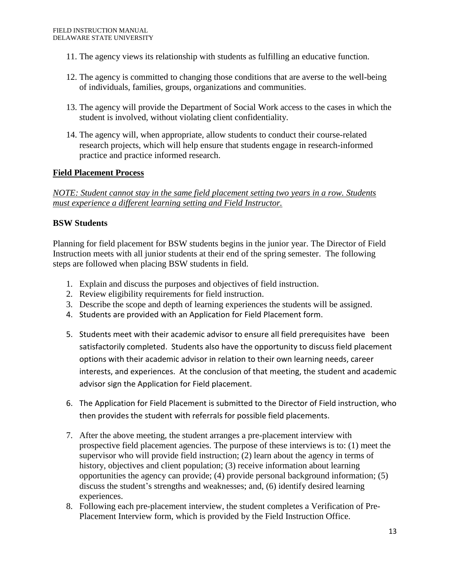- 11. The agency views its relationship with students as fulfilling an educative function.
- 12. The agency is committed to changing those conditions that are averse to the well-being of individuals, families, groups, organizations and communities.
- 13. The agency will provide the Department of Social Work access to the cases in which the student is involved, without violating client confidentiality.
- 14. The agency will, when appropriate, allow students to conduct their course-related research projects, which will help ensure that students engage in research-informed practice and practice informed research.

#### **Field Placement Process**

*NOTE: Student cannot stay in the same field placement setting two years in a row. Students must experience a different learning setting and Field Instructor.* 

#### **BSW Students**

Planning for field placement for BSW students begins in the junior year. The Director of Field Instruction meets with all junior students at their end of the spring semester. The following steps are followed when placing BSW students in field.

- 1. Explain and discuss the purposes and objectives of field instruction.
- 2. Review eligibility requirements for field instruction.
- 3. Describe the scope and depth of learning experiences the students will be assigned.
- 4. Students are provided with an Application for Field Placement form.
- 5. Students meet with their academic advisor to ensure all field prerequisites have been satisfactorily completed. Students also have the opportunity to discuss field placement options with their academic advisor in relation to their own learning needs, career interests, and experiences. At the conclusion of that meeting, the student and academic advisor sign the Application for Field placement.
- 6. The Application for Field Placement is submitted to the Director of Field instruction, who then provides the student with referrals for possible field placements.
- 7. After the above meeting, the student arranges a pre-placement interview with prospective field placement agencies. The purpose of these interviews is to: (1) meet the supervisor who will provide field instruction; (2) learn about the agency in terms of history, objectives and client population; (3) receive information about learning opportunities the agency can provide; (4) provide personal background information; (5) discuss the student's strengths and weaknesses; and, (6) identify desired learning experiences.
- 8. Following each pre-placement interview, the student completes a Verification of Pre-Placement Interview form, which is provided by the Field Instruction Office.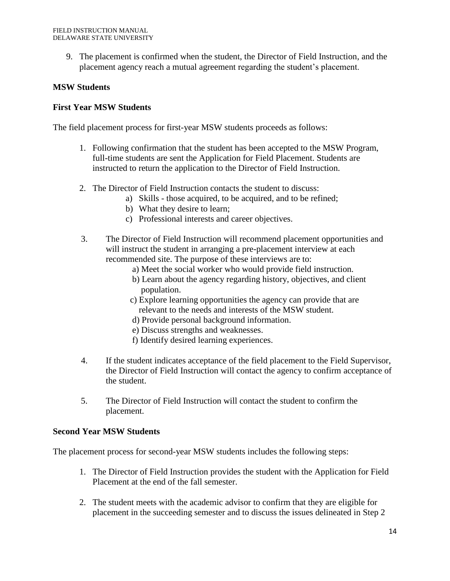9. The placement is confirmed when the student, the Director of Field Instruction, and the placement agency reach a mutual agreement regarding the student's placement.

# **MSW Students**

#### **First Year MSW Students**

The field placement process for first-year MSW students proceeds as follows:

- 1. Following confirmation that the student has been accepted to the MSW Program, full-time students are sent the Application for Field Placement. Students are instructed to return the application to the Director of Field Instruction.
- 2. The Director of Field Instruction contacts the student to discuss:
	- a) Skills those acquired, to be acquired, and to be refined;
	- b) What they desire to learn;
	- c) Professional interests and career objectives.
- 3. The Director of Field Instruction will recommend placement opportunities and will instruct the student in arranging a pre-placement interview at each recommended site. The purpose of these interviews are to:
	- a) Meet the social worker who would provide field instruction.
	- b) Learn about the agency regarding history, objectives, and client population.
	- c) Explore learning opportunities the agency can provide that are relevant to the needs and interests of the MSW student.
	- d) Provide personal background information.
	- e) Discuss strengths and weaknesses.
	- f) Identify desired learning experiences.
- 4. If the student indicates acceptance of the field placement to the Field Supervisor, the Director of Field Instruction will contact the agency to confirm acceptance of the student.
- 5. The Director of Field Instruction will contact the student to confirm the placement.

#### **Second Year MSW Students**

The placement process for second-year MSW students includes the following steps:

- 1. The Director of Field Instruction provides the student with the Application for Field Placement at the end of the fall semester.
- 2. The student meets with the academic advisor to confirm that they are eligible for placement in the succeeding semester and to discuss the issues delineated in Step 2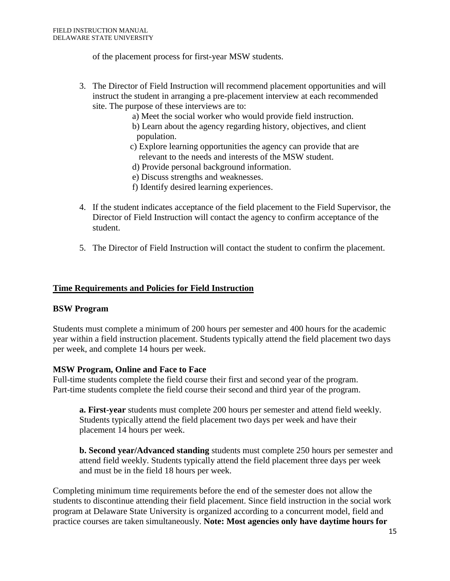of the placement process for first-year MSW students.

- 3. The Director of Field Instruction will recommend placement opportunities and will instruct the student in arranging a pre-placement interview at each recommended site. The purpose of these interviews are to:
	- a) Meet the social worker who would provide field instruction.
	- b) Learn about the agency regarding history, objectives, and client population.
	- c) Explore learning opportunities the agency can provide that are relevant to the needs and interests of the MSW student.
	- d) Provide personal background information.
	- e) Discuss strengths and weaknesses.
	- f) Identify desired learning experiences.
- 4. If the student indicates acceptance of the field placement to the Field Supervisor, the Director of Field Instruction will contact the agency to confirm acceptance of the student.
- 5. The Director of Field Instruction will contact the student to confirm the placement.

#### **Time Requirements and Policies for Field Instruction**

#### **BSW Program**

Students must complete a minimum of 200 hours per semester and 400 hours for the academic year within a field instruction placement. Students typically attend the field placement two days per week, and complete 14 hours per week.

#### **MSW Program, Online and Face to Face**

Full-time students complete the field course their first and second year of the program. Part-time students complete the field course their second and third year of the program.

**a. First-year** students must complete 200 hours per semester and attend field weekly. Students typically attend the field placement two days per week and have their placement 14 hours per week.

**b. Second year/Advanced standing** students must complete 250 hours per semester and attend field weekly. Students typically attend the field placement three days per week and must be in the field 18 hours per week.

Completing minimum time requirements before the end of the semester does not allow the students to discontinue attending their field placement. Since field instruction in the social work program at Delaware State University is organized according to a concurrent model, field and practice courses are taken simultaneously. **Note: Most agencies only have daytime hours for**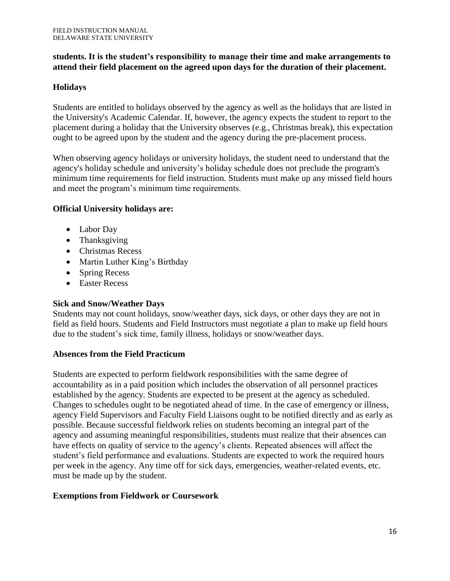#### **students. It is the student's responsibility to manage their time and make arrangements to attend their field placement on the agreed upon days for the duration of their placement.**

# **Holidays**

Students are entitled to holidays observed by the agency as well as the holidays that are listed in the University's Academic Calendar. If, however, the agency expects the student to report to the placement during a holiday that the University observes (e.g., Christmas break), this expectation ought to be agreed upon by the student and the agency during the pre-placement process.

When observing agency holidays or university holidays, the student need to understand that the agency's holiday schedule and university's holiday schedule does not preclude the program's minimum time requirements for field instruction. Students must make up any missed field hours and meet the program's minimum time requirements.

#### **Official University holidays are:**

- Labor Day
- Thanksgiving
- Christmas Recess
- Martin Luther King's Birthday
- Spring Recess
- Easter Recess

#### **Sick and Snow/Weather Days**

Students may not count holidays, snow/weather days, sick days, or other days they are not in field as field hours. Students and Field Instructors must negotiate a plan to make up field hours due to the student's sick time, family illness, holidays or snow/weather days.

#### **Absences from the Field Practicum**

Students are expected to perform fieldwork responsibilities with the same degree of accountability as in a paid position which includes the observation of all personnel practices established by the agency. Students are expected to be present at the agency as scheduled. Changes to schedules ought to be negotiated ahead of time. In the case of emergency or illness, agency Field Supervisors and Faculty Field Liaisons ought to be notified directly and as early as possible. Because successful fieldwork relies on students becoming an integral part of the agency and assuming meaningful responsibilities, students must realize that their absences can have effects on quality of service to the agency's clients. Repeated absences will affect the student's field performance and evaluations. Students are expected to work the required hours per week in the agency. Any time off for sick days, emergencies, weather-related events, etc. must be made up by the student.

#### **Exemptions from Fieldwork or Coursework**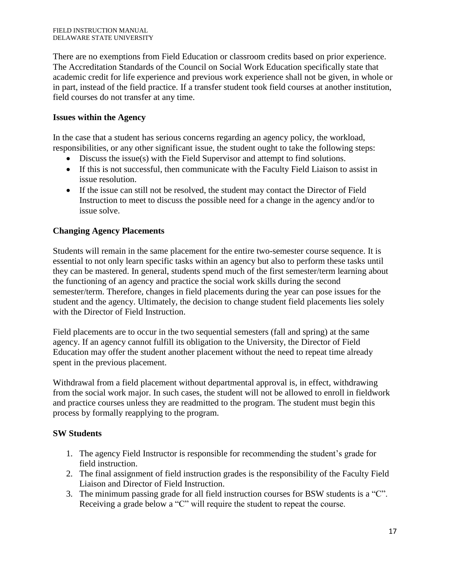There are no exemptions from Field Education or classroom credits based on prior experience. The Accreditation Standards of the Council on Social Work Education specifically state that academic credit for life experience and previous work experience shall not be given, in whole or in part, instead of the field practice. If a transfer student took field courses at another institution, field courses do not transfer at any time.

# **Issues within the Agency**

In the case that a student has serious concerns regarding an agency policy, the workload, responsibilities, or any other significant issue, the student ought to take the following steps:

- Discuss the issue(s) with the Field Supervisor and attempt to find solutions.
- If this is not successful, then communicate with the Faculty Field Liaison to assist in issue resolution.
- If the issue can still not be resolved, the student may contact the Director of Field Instruction to meet to discuss the possible need for a change in the agency and/or to issue solve.

# **Changing Agency Placements**

Students will remain in the same placement for the entire two-semester course sequence. It is essential to not only learn specific tasks within an agency but also to perform these tasks until they can be mastered. In general, students spend much of the first semester/term learning about the functioning of an agency and practice the social work skills during the second semester/term. Therefore, changes in field placements during the year can pose issues for the student and the agency. Ultimately, the decision to change student field placements lies solely with the Director of Field Instruction.

Field placements are to occur in the two sequential semesters (fall and spring) at the same agency. If an agency cannot fulfill its obligation to the University, the Director of Field Education may offer the student another placement without the need to repeat time already spent in the previous placement.

Withdrawal from a field placement without departmental approval is, in effect, withdrawing from the social work major. In such cases, the student will not be allowed to enroll in fieldwork and practice courses unless they are readmitted to the program. The student must begin this process by formally reapplying to the program.

#### **SW Students**

- 1. The agency Field Instructor is responsible for recommending the student's grade for field instruction.
- 2. The final assignment of field instruction grades is the responsibility of the Faculty Field Liaison and Director of Field Instruction.
- 3. The minimum passing grade for all field instruction courses for BSW students is a "C". Receiving a grade below a "C" will require the student to repeat the course.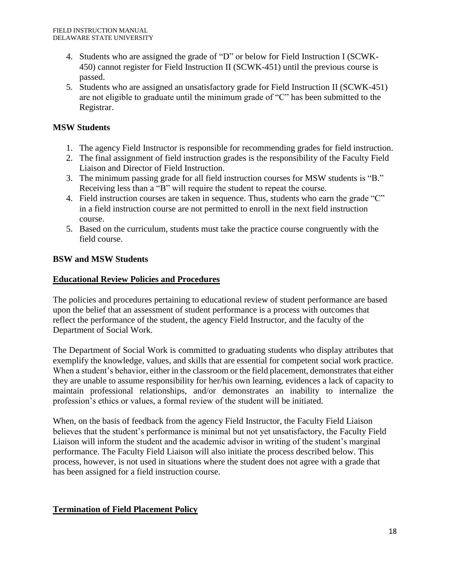- 4. Students who are assigned the grade of "D" or below for Field Instruction I (SCWK-450) cannot register for Field Instruction II (SCWK-451) until the previous course is passed.
- 5. Students who are assigned an unsatisfactory grade for Field Instruction II (SCWK-451) are not eligible to graduate until the minimum grade of "C" has been submitted to the Registrar.

# **MSW Students**

- 1. The agency Field Instructor is responsible for recommending grades for field instruction.
- 2. The final assignment of field instruction grades is the responsibility of the Faculty Field Liaison and Director of Field Instruction.
- 3. The minimum passing grade for all field instruction courses for MSW students is "B." Receiving less than a "B" will require the student to repeat the course.
- 4. Field instruction courses are taken in sequence. Thus, students who earn the grade "C" in a field instruction course are not permitted to enroll in the next field instruction course.
- 5. Based on the curriculum, students must take the practice course congruently with the field course.

# **BSW and MSW Students**

#### **Educational Review Policies and Procedures**

The policies and procedures pertaining to educational review of student performance are based upon the belief that an assessment of student performance is a process with outcomes that reflect the performance of the student, the agency Field Instructor, and the faculty of the Department of Social Work.

The Department of Social Work is committed to graduating students who display attributes that exemplify the knowledge, values, and skills that are essential for competent social work practice. When a student's behavior, either in the classroom or the field placement, demonstrates that either they are unable to assume responsibility for her/his own learning, evidences a lack of capacity to maintain professional relationships, and/or demonstrates an inability to internalize the profession's ethics or values, a formal review of the student will be initiated.

When, on the basis of feedback from the agency Field Instructor, the Faculty Field Liaison believes that the student's performance is minimal but not yet unsatisfactory, the Faculty Field Liaison will inform the student and the academic advisor in writing of the student's marginal performance. The Faculty Field Liaison will also initiate the process described below. This process, however, is not used in situations where the student does not agree with a grade that has been assigned for a field instruction course.

#### **Termination of Field Placement Policy**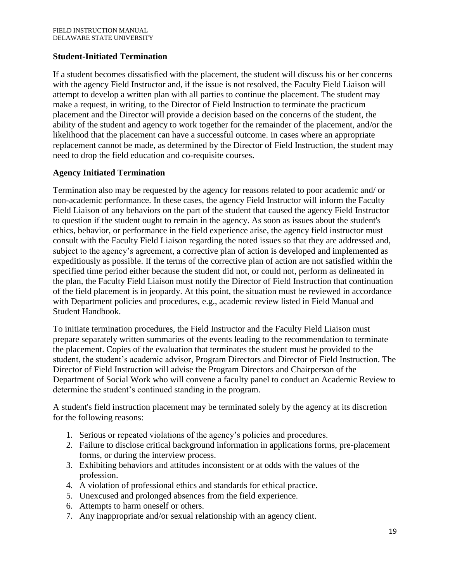# **Student-Initiated Termination**

If a student becomes dissatisfied with the placement, the student will discuss his or her concerns with the agency Field Instructor and, if the issue is not resolved, the Faculty Field Liaison will attempt to develop a written plan with all parties to continue the placement. The student may make a request, in writing, to the Director of Field Instruction to terminate the practicum placement and the Director will provide a decision based on the concerns of the student, the ability of the student and agency to work together for the remainder of the placement, and/or the likelihood that the placement can have a successful outcome. In cases where an appropriate replacement cannot be made, as determined by the Director of Field Instruction, the student may need to drop the field education and co-requisite courses.

#### **Agency Initiated Termination**

Termination also may be requested by the agency for reasons related to poor academic and/ or non-academic performance. In these cases, the agency Field Instructor will inform the Faculty Field Liaison of any behaviors on the part of the student that caused the agency Field Instructor to question if the student ought to remain in the agency. As soon as issues about the student's ethics, behavior, or performance in the field experience arise, the agency field instructor must consult with the Faculty Field Liaison regarding the noted issues so that they are addressed and, subject to the agency's agreement, a corrective plan of action is developed and implemented as expeditiously as possible. If the terms of the corrective plan of action are not satisfied within the specified time period either because the student did not, or could not, perform as delineated in the plan, the Faculty Field Liaison must notify the Director of Field Instruction that continuation of the field placement is in jeopardy. At this point, the situation must be reviewed in accordance with Department policies and procedures, e.g., academic review listed in Field Manual and Student Handbook.

To initiate termination procedures, the Field Instructor and the Faculty Field Liaison must prepare separately written summaries of the events leading to the recommendation to terminate the placement. Copies of the evaluation that terminates the student must be provided to the student, the student's academic advisor, Program Directors and Director of Field Instruction. The Director of Field Instruction will advise the Program Directors and Chairperson of the Department of Social Work who will convene a faculty panel to conduct an Academic Review to determine the student's continued standing in the program.

A student's field instruction placement may be terminated solely by the agency at its discretion for the following reasons:

- 1. Serious or repeated violations of the agency's policies and procedures.
- 2. Failure to disclose critical background information in applications forms, pre-placement forms, or during the interview process.
- 3. Exhibiting behaviors and attitudes inconsistent or at odds with the values of the profession.
- 4. A violation of professional ethics and standards for ethical practice.
- 5. Unexcused and prolonged absences from the field experience.
- 6. Attempts to harm oneself or others.
- 7. Any inappropriate and/or sexual relationship with an agency client.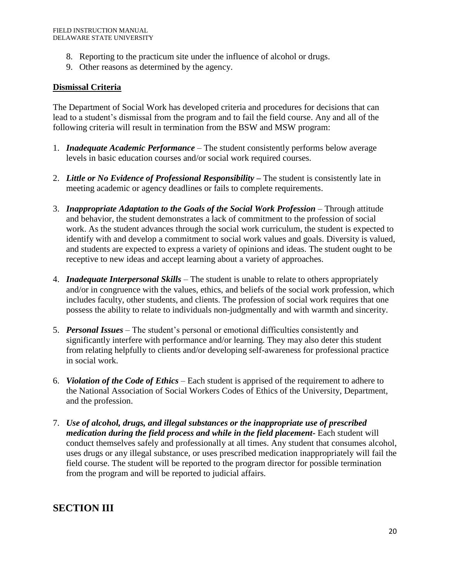- 8. Reporting to the practicum site under the influence of alcohol or drugs.
- 9. Other reasons as determined by the agency.

#### **Dismissal Criteria**

The Department of Social Work has developed criteria and procedures for decisions that can lead to a student's dismissal from the program and to fail the field course. Any and all of the following criteria will result in termination from the BSW and MSW program:

- 1. *Inadequate Academic Performance* The student consistently performs below average levels in basic education courses and/or social work required courses.
- 2. *Little or No Evidence of Professional Responsibility –* The student is consistently late in meeting academic or agency deadlines or fails to complete requirements.
- 3. *Inappropriate Adaptation to the Goals of the Social Work Profession* Through attitude and behavior, the student demonstrates a lack of commitment to the profession of social work. As the student advances through the social work curriculum, the student is expected to identify with and develop a commitment to social work values and goals. Diversity is valued, and students are expected to express a variety of opinions and ideas. The student ought to be receptive to new ideas and accept learning about a variety of approaches.
- 4. *Inadequate Interpersonal Skills* The student is unable to relate to others appropriately and/or in congruence with the values, ethics, and beliefs of the social work profession, which includes faculty, other students, and clients. The profession of social work requires that one possess the ability to relate to individuals non-judgmentally and with warmth and sincerity.
- 5. *Personal Issues* The student's personal or emotional difficulties consistently and significantly interfere with performance and/or learning. They may also deter this student from relating helpfully to clients and/or developing self-awareness for professional practice in social work.
- 6. *Violation of the Code of Ethics* Each student is apprised of the requirement to adhere to the National Association of Social Workers Codes of Ethics of the University, Department, and the profession.
- 7. *Use of alcohol, drugs, and illegal substances or the inappropriate use of prescribed medication during the field process and while in the field placement-* Each student will conduct themselves safely and professionally at all times. Any student that consumes alcohol, uses drugs or any illegal substance, or uses prescribed medication inappropriately will fail the field course. The student will be reported to the program director for possible termination from the program and will be reported to judicial affairs.

# **SECTION III**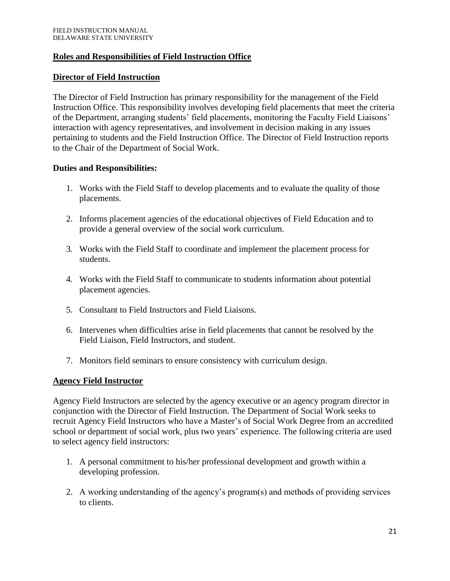#### **Roles and Responsibilities of Field Instruction Office**

#### **Director of Field Instruction**

The Director of Field Instruction has primary responsibility for the management of the Field Instruction Office. This responsibility involves developing field placements that meet the criteria of the Department, arranging students' field placements, monitoring the Faculty Field Liaisons' interaction with agency representatives, and involvement in decision making in any issues pertaining to students and the Field Instruction Office. The Director of Field Instruction reports to the Chair of the Department of Social Work.

#### **Duties and Responsibilities:**

- 1. Works with the Field Staff to develop placements and to evaluate the quality of those placements.
- 2. Informs placement agencies of the educational objectives of Field Education and to provide a general overview of the social work curriculum.
- 3. Works with the Field Staff to coordinate and implement the placement process for students.
- 4. Works with the Field Staff to communicate to students information about potential placement agencies.
- 5. Consultant to Field Instructors and Field Liaisons.
- 6. Intervenes when difficulties arise in field placements that cannot be resolved by the Field Liaison, Field Instructors, and student.
- 7. Monitors field seminars to ensure consistency with curriculum design.

#### **Agency Field Instructor**

Agency Field Instructors are selected by the agency executive or an agency program director in conjunction with the Director of Field Instruction. The Department of Social Work seeks to recruit Agency Field Instructors who have a Master's of Social Work Degree from an accredited school or department of social work, plus two years' experience. The following criteria are used to select agency field instructors:

- 1. A personal commitment to his/her professional development and growth within a developing profession.
- 2. A working understanding of the agency's program(s) and methods of providing services to clients.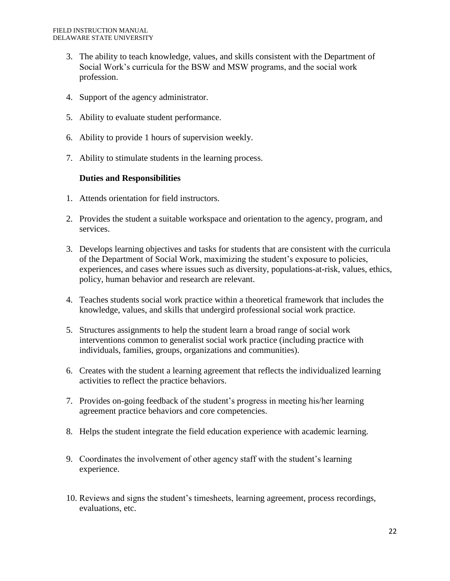- 3. The ability to teach knowledge, values, and skills consistent with the Department of Social Work's curricula for the BSW and MSW programs, and the social work profession.
- 4. Support of the agency administrator.
- 5. Ability to evaluate student performance.
- 6. Ability to provide 1 hours of supervision weekly.
- 7. Ability to stimulate students in the learning process.

#### **Duties and Responsibilities**

- 1. Attends orientation for field instructors.
- 2. Provides the student a suitable workspace and orientation to the agency, program, and services.
- 3. Develops learning objectives and tasks for students that are consistent with the curricula of the Department of Social Work, maximizing the student's exposure to policies, experiences, and cases where issues such as diversity, populations-at-risk, values, ethics, policy, human behavior and research are relevant.
- 4. Teaches students social work practice within a theoretical framework that includes the knowledge, values, and skills that undergird professional social work practice.
- 5. Structures assignments to help the student learn a broad range of social work interventions common to generalist social work practice (including practice with individuals, families, groups, organizations and communities).
- 6. Creates with the student a learning agreement that reflects the individualized learning activities to reflect the practice behaviors.
- 7. Provides on-going feedback of the student's progress in meeting his/her learning agreement practice behaviors and core competencies.
- 8. Helps the student integrate the field education experience with academic learning.
- 9. Coordinates the involvement of other agency staff with the student's learning experience.
- 10. Reviews and signs the student's timesheets, learning agreement, process recordings, evaluations, etc.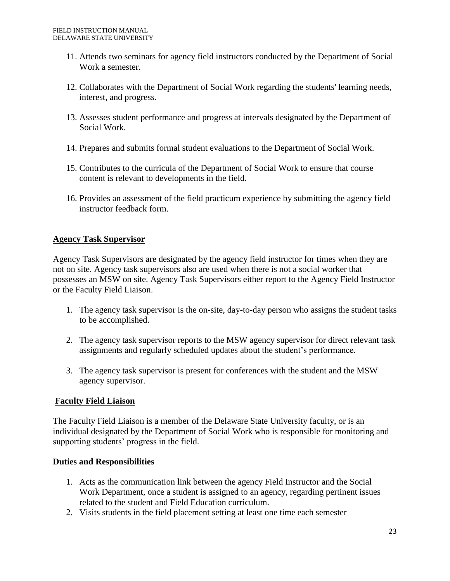- 11. Attends two seminars for agency field instructors conducted by the Department of Social Work a semester.
- 12. Collaborates with the Department of Social Work regarding the students' learning needs, interest, and progress.
- 13. Assesses student performance and progress at intervals designated by the Department of Social Work.
- 14. Prepares and submits formal student evaluations to the Department of Social Work.
- 15. Contributes to the curricula of the Department of Social Work to ensure that course content is relevant to developments in the field.
- 16. Provides an assessment of the field practicum experience by submitting the agency field instructor feedback form.

#### **Agency Task Supervisor**

Agency Task Supervisors are designated by the agency field instructor for times when they are not on site. Agency task supervisors also are used when there is not a social worker that possesses an MSW on site. Agency Task Supervisors either report to the Agency Field Instructor or the Faculty Field Liaison.

- 1. The agency task supervisor is the on-site, day-to-day person who assigns the student tasks to be accomplished.
- 2. The agency task supervisor reports to the MSW agency supervisor for direct relevant task assignments and regularly scheduled updates about the student's performance.
- 3. The agency task supervisor is present for conferences with the student and the MSW agency supervisor.

#### **Faculty Field Liaison**

The Faculty Field Liaison is a member of the Delaware State University faculty, or is an individual designated by the Department of Social Work who is responsible for monitoring and supporting students' progress in the field.

#### **Duties and Responsibilities**

- 1. Acts as the communication link between the agency Field Instructor and the Social Work Department, once a student is assigned to an agency, regarding pertinent issues related to the student and Field Education curriculum.
- 2. Visits students in the field placement setting at least one time each semester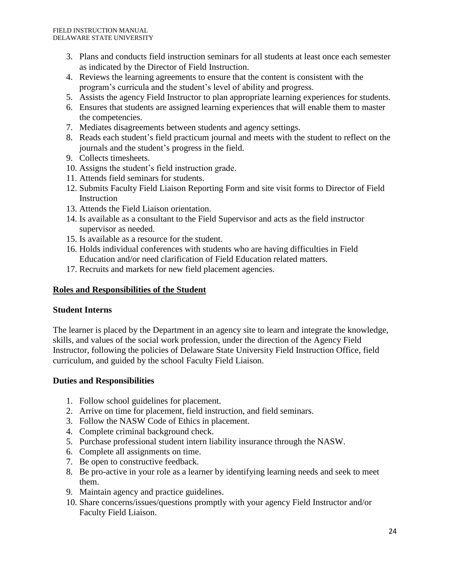- 3. Plans and conducts field instruction seminars for all students at least once each semester as indicated by the Director of Field Instruction.
- 4. Reviews the learning agreements to ensure that the content is consistent with the program's curricula and the student's level of ability and progress.
- 5. Assists the agency Field Instructor to plan appropriate learning experiences for students.
- 6. Ensures that students are assigned learning experiences that will enable them to master the competencies.
- 7. Mediates disagreements between students and agency settings.
- 8. Reads each student's field practicum journal and meets with the student to reflect on the journals and the student's progress in the field.
- 9. Collects timesheets.
- 10. Assigns the student's field instruction grade.
- 11. Attends field seminars for students.
- 12. Submits Faculty Field Liaison Reporting Form and site visit forms to Director of Field **Instruction**
- 13. Attends the Field Liaison orientation.
- 14. Is available as a consultant to the Field Supervisor and acts as the field instructor supervisor as needed.
- 15. Is available as a resource for the student.
- 16. Holds individual conferences with students who are having difficulties in Field Education and/or need clarification of Field Education related matters.
- 17. Recruits and markets for new field placement agencies.

#### **Roles and Responsibilities of the Student**

#### **Student Interns**

The learner is placed by the Department in an agency site to learn and integrate the knowledge, skills, and values of the social work profession, under the direction of the Agency Field Instructor, following the policies of Delaware State University Field Instruction Office, field curriculum, and guided by the school Faculty Field Liaison.

#### **Duties and Responsibilities**

- 1. Follow school guidelines for placement.
- 2. Arrive on time for placement, field instruction, and field seminars.
- 3. Follow the NASW Code of Ethics in placement.
- 4. Complete criminal background check.
- 5. Purchase professional student intern liability insurance through the NASW.
- 6. Complete all assignments on time.
- 7. Be open to constructive feedback.
- 8. Be pro-active in your role as a learner by identifying learning needs and seek to meet them.
- 9. Maintain agency and practice guidelines.
- 10. Share concerns/issues/questions promptly with your agency Field Instructor and/or Faculty Field Liaison.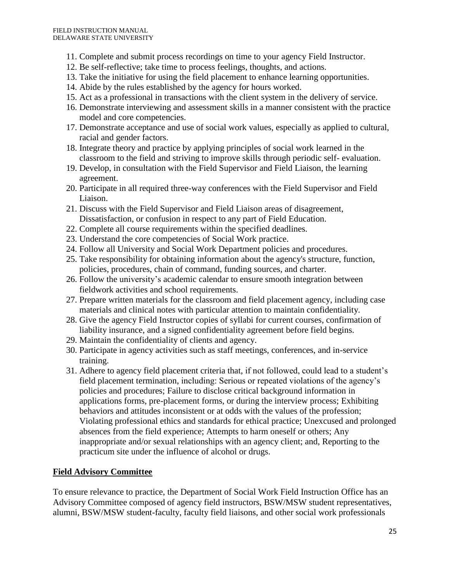- 11. Complete and submit process recordings on time to your agency Field Instructor.
- 12. Be self-reflective; take time to process feelings, thoughts, and actions.
- 13. Take the initiative for using the field placement to enhance learning opportunities.
- 14. Abide by the rules established by the agency for hours worked.
- 15. Act as a professional in transactions with the client system in the delivery of service.
- 16. Demonstrate interviewing and assessment skills in a manner consistent with the practice model and core competencies.
- 17. Demonstrate acceptance and use of social work values, especially as applied to cultural, racial and gender factors.
- 18. Integrate theory and practice by applying principles of social work learned in the classroom to the field and striving to improve skills through periodic self- evaluation.
- 19. Develop, in consultation with the Field Supervisor and Field Liaison, the learning agreement.
- 20. Participate in all required three-way conferences with the Field Supervisor and Field Liaison.
- 21. Discuss with the Field Supervisor and Field Liaison areas of disagreement, Dissatisfaction, or confusion in respect to any part of Field Education.
- 22. Complete all course requirements within the specified deadlines.
- 23. Understand the core competencies of Social Work practice.
- 24. Follow all University and Social Work Department policies and procedures.
- 25. Take responsibility for obtaining information about the agency's structure, function, policies, procedures, chain of command, funding sources, and charter.
- 26. Follow the university's academic calendar to ensure smooth integration between fieldwork activities and school requirements.
- 27. Prepare written materials for the classroom and field placement agency, including case materials and clinical notes with particular attention to maintain confidentiality.
- 28. Give the agency Field Instructor copies of syllabi for current courses, confirmation of liability insurance, and a signed confidentiality agreement before field begins.
- 29. Maintain the confidentiality of clients and agency.
- 30. Participate in agency activities such as staff meetings, conferences, and in-service training.
- 31. Adhere to agency field placement criteria that, if not followed, could lead to a student's field placement termination, including: Serious or repeated violations of the agency's policies and procedures; Failure to disclose critical background information in applications forms, pre-placement forms, or during the interview process; Exhibiting behaviors and attitudes inconsistent or at odds with the values of the profession; Violating professional ethics and standards for ethical practice; Unexcused and prolonged absences from the field experience; Attempts to harm oneself or others; Any inappropriate and/or sexual relationships with an agency client; and, Reporting to the practicum site under the influence of alcohol or drugs.

#### **Field Advisory Committee**

To ensure relevance to practice, the Department of Social Work Field Instruction Office has an Advisory Committee composed of agency field instructors, BSW/MSW student representatives, alumni, BSW/MSW student-faculty, faculty field liaisons, and other social work professionals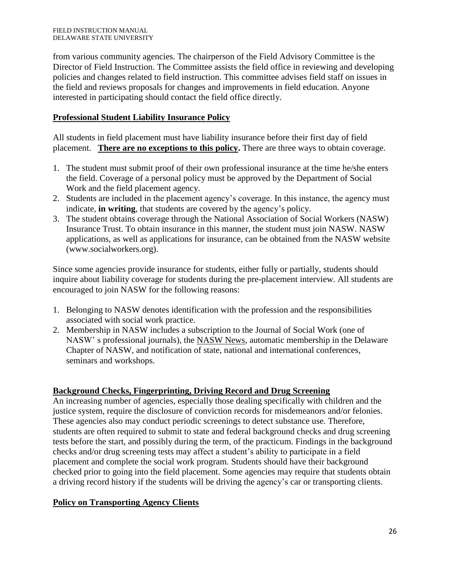from various community agencies. The chairperson of the Field Advisory Committee is the Director of Field Instruction. The Committee assists the field office in reviewing and developing policies and changes related to field instruction. This committee advises field staff on issues in the field and reviews proposals for changes and improvements in field education. Anyone interested in participating should contact the field office directly.

# **Professional Student Liability Insurance Policy**

All students in field placement must have liability insurance before their first day of field placement. **There are no exceptions to this policy.** There are three ways to obtain coverage.

- 1. The student must submit proof of their own professional insurance at the time he/she enters the field. Coverage of a personal policy must be approved by the Department of Social Work and the field placement agency.
- 2. Students are included in the placement agency's coverage. In this instance, the agency must indicate, **in writing**, that students are covered by the agency's policy.
- 3. The student obtains coverage through the National Association of Social Workers (NASW) Insurance Trust. To obtain insurance in this manner, the student must join NASW. NASW applications, as well as applications for insurance, can be obtained from the NASW website (www.socialworkers.org).

Since some agencies provide insurance for students, either fully or partially, students should inquire about liability coverage for students during the pre-placement interview. All students are encouraged to join NASW for the following reasons:

- 1. Belonging to NASW denotes identification with the profession and the responsibilities associated with social work practice.
- 2. Membership in NASW includes a subscription to the Journal of Social Work (one of NASW' s professional journals), the NASW News, automatic membership in the Delaware Chapter of NASW, and notification of state, national and international conferences, seminars and workshops.

#### **Background Checks, Fingerprinting, Driving Record and Drug Screening**

An increasing number of agencies, especially those dealing specifically with children and the justice system, require the disclosure of conviction records for misdemeanors and/or felonies. These agencies also may conduct periodic screenings to detect substance use. Therefore, students are often required to submit to state and federal background checks and drug screening tests before the start, and possibly during the term, of the practicum. Findings in the background checks and/or drug screening tests may affect a student's ability to participate in a field placement and complete the social work program. Students should have their background checked prior to going into the field placement. Some agencies may require that students obtain a driving record history if the students will be driving the agency's car or transporting clients.

#### **Policy on Transporting Agency Clients**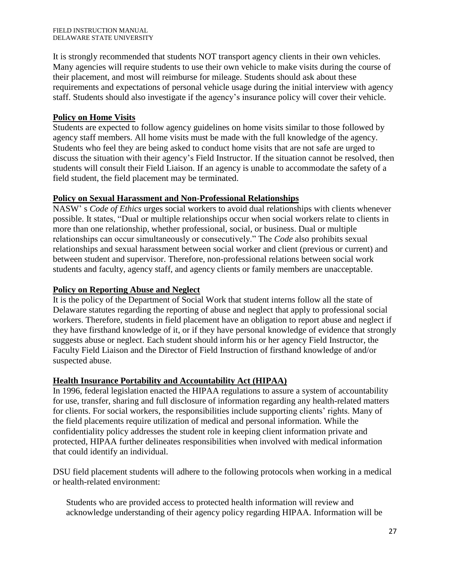It is strongly recommended that students NOT transport agency clients in their own vehicles. Many agencies will require students to use their own vehicle to make visits during the course of their placement, and most will reimburse for mileage. Students should ask about these requirements and expectations of personal vehicle usage during the initial interview with agency staff. Students should also investigate if the agency's insurance policy will cover their vehicle.

#### **Policy on Home Visits**

Students are expected to follow agency guidelines on home visits similar to those followed by agency staff members. All home visits must be made with the full knowledge of the agency. Students who feel they are being asked to conduct home visits that are not safe are urged to discuss the situation with their agency's Field Instructor. If the situation cannot be resolved, then students will consult their Field Liaison. If an agency is unable to accommodate the safety of a field student, the field placement may be terminated.

#### **Policy on Sexual Harassment and Non-Professional Relationships**

NASW' s *Code of Ethics* urges social workers to avoid dual relationships with clients whenever possible. It states, "Dual or multiple relationships occur when social workers relate to clients in more than one relationship, whether professional, social, or business. Dual or multiple relationships can occur simultaneously or consecutively." The *Code* also prohibits sexual relationships and sexual harassment between social worker and client (previous or current) and between student and supervisor. Therefore, non-professional relations between social work students and faculty, agency staff, and agency clients or family members are unacceptable.

# **Policy on Reporting Abuse and Neglect**

It is the policy of the Department of Social Work that student interns follow all the state of Delaware statutes regarding the reporting of abuse and neglect that apply to professional social workers. Therefore, students in field placement have an obligation to report abuse and neglect if they have firsthand knowledge of it, or if they have personal knowledge of evidence that strongly suggests abuse or neglect. Each student should inform his or her agency Field Instructor, the Faculty Field Liaison and the Director of Field Instruction of firsthand knowledge of and/or suspected abuse.

#### **Health Insurance Portability and Accountability Act (HIPAA)**

In 1996, federal legislation enacted the HIPAA regulations to assure a system of accountability for use, transfer, sharing and full disclosure of information regarding any health-related matters for clients. For social workers, the responsibilities include supporting clients' rights. Many of the field placements require utilization of medical and personal information. While the confidentiality policy addresses the student role in keeping client information private and protected, HIPAA further delineates responsibilities when involved with medical information that could identify an individual.

DSU field placement students will adhere to the following protocols when working in a medical or health-related environment:

Students who are provided access to protected health information will review and acknowledge understanding of their agency policy regarding HIPAA. Information will be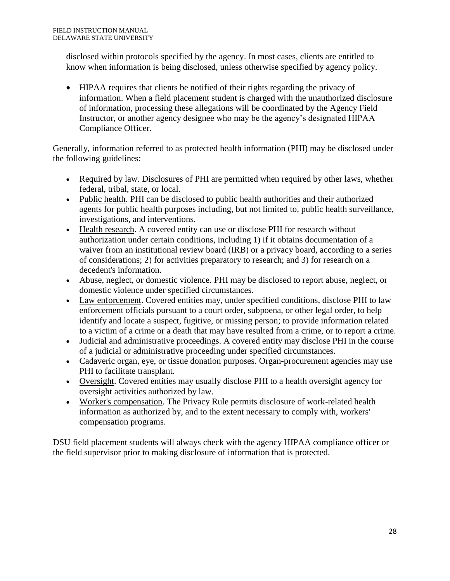disclosed within protocols specified by the agency. In most cases, clients are entitled to know when information is being disclosed, unless otherwise specified by agency policy.

• HIPAA requires that clients be notified of their rights regarding the privacy of information. When a field placement student is charged with the unauthorized disclosure of information, processing these allegations will be coordinated by the Agency Field Instructor, or another agency designee who may be the agency's designated HIPAA Compliance Officer.

Generally, information referred to as protected health information (PHI) may be disclosed under the following guidelines:

- Required by law. Disclosures of PHI are permitted when required by other laws, whether federal, tribal, state, or local.
- Public health. PHI can be disclosed to public health authorities and their authorized agents for public health purposes including, but not limited to, public health surveillance, investigations, and interventions.
- Health research. A covered entity can use or disclose PHI for research without authorization under certain conditions, including 1) if it obtains documentation of a waiver from an institutional review board (IRB) or a privacy board, according to a series of considerations; 2) for activities preparatory to research; and 3) for research on a decedent's information.
- Abuse, neglect, or domestic violence. PHI may be disclosed to report abuse, neglect, or domestic violence under specified circumstances.
- Law enforcement. Covered entities may, under specified conditions, disclose PHI to law enforcement officials pursuant to a court order, subpoena, or other legal order, to help identify and locate a suspect, fugitive, or missing person; to provide information related to a victim of a crime or a death that may have resulted from a crime, or to report a crime.
- Judicial and administrative proceedings. A covered entity may disclose PHI in the course of a judicial or administrative proceeding under specified circumstances.
- Cadaveric organ, eye, or tissue donation purposes. Organ-procurement agencies may use PHI to facilitate transplant.
- Oversight. Covered entities may usually disclose PHI to a health oversight agency for oversight activities authorized by law.
- Worker's compensation. The Privacy Rule permits disclosure of work-related health information as authorized by, and to the extent necessary to comply with, workers' compensation programs.

DSU field placement students will always check with the agency HIPAA compliance officer or the field supervisor prior to making disclosure of information that is protected.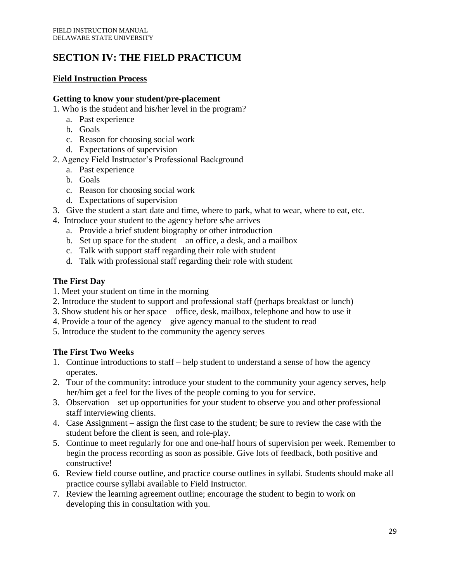# **SECTION IV: THE FIELD PRACTICUM**

# **Field Instruction Process**

#### **Getting to know your student/pre-placement**

- 1. Who is the student and his/her level in the program?
	- a. Past experience
	- b. Goals
	- c. Reason for choosing social work
	- d. Expectations of supervision
- 2. Agency Field Instructor's Professional Background
	- a. Past experience
	- b. Goals
	- c. Reason for choosing social work
	- d. Expectations of supervision
- 3. Give the student a start date and time, where to park, what to wear, where to eat, etc.
- 4. Introduce your student to the agency before s/he arrives
	- a. Provide a brief student biography or other introduction
	- b. Set up space for the student an office, a desk, and a mailbox
	- c. Talk with support staff regarding their role with student
	- d. Talk with professional staff regarding their role with student

#### **The First Day**

- 1. Meet your student on time in the morning
- 2. Introduce the student to support and professional staff (perhaps breakfast or lunch)
- 3. Show student his or her space office, desk, mailbox, telephone and how to use it
- 4. Provide a tour of the agency give agency manual to the student to read
- 5. Introduce the student to the community the agency serves

#### **The First Two Weeks**

- 1. Continue introductions to staff help student to understand a sense of how the agency operates.
- 2. Tour of the community: introduce your student to the community your agency serves, help her/him get a feel for the lives of the people coming to you for service.
- 3. Observation set up opportunities for your student to observe you and other professional staff interviewing clients.
- 4. Case Assignment assign the first case to the student; be sure to review the case with the student before the client is seen, and role-play.
- 5. Continue to meet regularly for one and one-half hours of supervision per week. Remember to begin the process recording as soon as possible. Give lots of feedback, both positive and constructive!
- 6. Review field course outline, and practice course outlines in syllabi. Students should make all practice course syllabi available to Field Instructor.
- 7. Review the learning agreement outline; encourage the student to begin to work on developing this in consultation with you.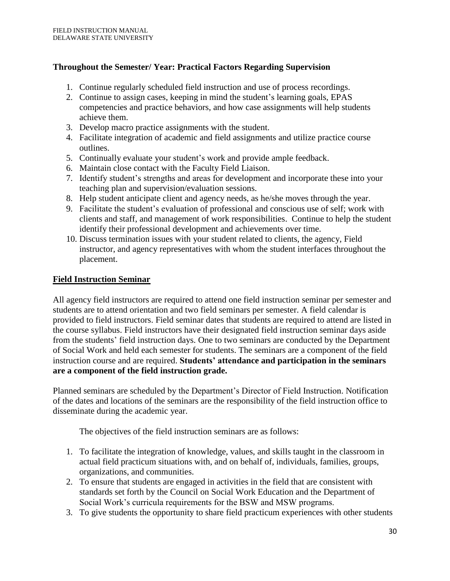#### **Throughout the Semester/ Year: Practical Factors Regarding Supervision**

- 1. Continue regularly scheduled field instruction and use of process recordings.
- 2. Continue to assign cases, keeping in mind the student's learning goals, EPAS competencies and practice behaviors, and how case assignments will help students achieve them.
- 3. Develop macro practice assignments with the student.
- 4. Facilitate integration of academic and field assignments and utilize practice course outlines.
- 5. Continually evaluate your student's work and provide ample feedback.
- 6. Maintain close contact with the Faculty Field Liaison.
- 7. Identify student's strengths and areas for development and incorporate these into your teaching plan and supervision/evaluation sessions.
- 8. Help student anticipate client and agency needs, as he/she moves through the year.
- 9. Facilitate the student's evaluation of professional and conscious use of self; work with clients and staff, and management of work responsibilities. Continue to help the student identify their professional development and achievements over time.
- 10. Discuss termination issues with your student related to clients, the agency, Field instructor, and agency representatives with whom the student interfaces throughout the placement.

#### **Field Instruction Seminar**

All agency field instructors are required to attend one field instruction seminar per semester and students are to attend orientation and two field seminars per semester. A field calendar is provided to field instructors. Field seminar dates that students are required to attend are listed in the course syllabus. Field instructors have their designated field instruction seminar days aside from the students' field instruction days. One to two seminars are conducted by the Department of Social Work and held each semester for students. The seminars are a component of the field instruction course and are required. **Students' attendance and participation in the seminars are a component of the field instruction grade.**

Planned seminars are scheduled by the Department's Director of Field Instruction. Notification of the dates and locations of the seminars are the responsibility of the field instruction office to disseminate during the academic year.

The objectives of the field instruction seminars are as follows:

- 1. To facilitate the integration of knowledge, values, and skills taught in the classroom in actual field practicum situations with, and on behalf of, individuals, families, groups, organizations, and communities.
- 2. To ensure that students are engaged in activities in the field that are consistent with standards set forth by the Council on Social Work Education and the Department of Social Work's curricula requirements for the BSW and MSW programs.
- 3. To give students the opportunity to share field practicum experiences with other students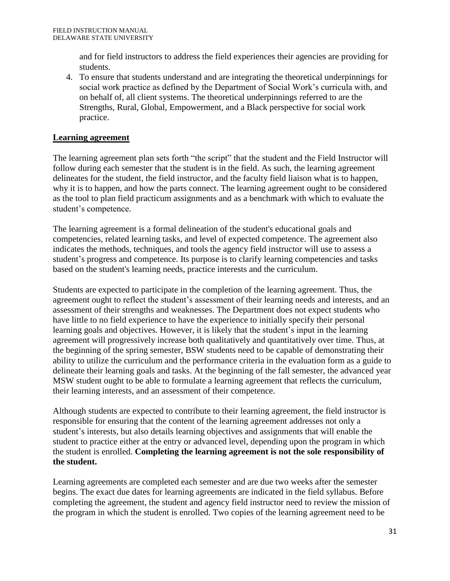and for field instructors to address the field experiences their agencies are providing for students.

4. To ensure that students understand and are integrating the theoretical underpinnings for social work practice as defined by the Department of Social Work's curricula with, and on behalf of, all client systems. The theoretical underpinnings referred to are the Strengths, Rural, Global, Empowerment, and a Black perspective for social work practice.

#### **Learning agreement**

The learning agreement plan sets forth "the script" that the student and the Field Instructor will follow during each semester that the student is in the field. As such, the learning agreement delineates for the student, the field instructor, and the faculty field liaison what is to happen, why it is to happen, and how the parts connect. The learning agreement ought to be considered as the tool to plan field practicum assignments and as a benchmark with which to evaluate the student's competence.

The learning agreement is a formal delineation of the student's educational goals and competencies, related learning tasks, and level of expected competence. The agreement also indicates the methods, techniques, and tools the agency field instructor will use to assess a student's progress and competence. Its purpose is to clarify learning competencies and tasks based on the student's learning needs, practice interests and the curriculum.

Students are expected to participate in the completion of the learning agreement. Thus, the agreement ought to reflect the student's assessment of their learning needs and interests, and an assessment of their strengths and weaknesses. The Department does not expect students who have little to no field experience to have the experience to initially specify their personal learning goals and objectives. However, it is likely that the student's input in the learning agreement will progressively increase both qualitatively and quantitatively over time. Thus, at the beginning of the spring semester, BSW students need to be capable of demonstrating their ability to utilize the curriculum and the performance criteria in the evaluation form as a guide to delineate their learning goals and tasks. At the beginning of the fall semester, the advanced year MSW student ought to be able to formulate a learning agreement that reflects the curriculum, their learning interests, and an assessment of their competence.

Although students are expected to contribute to their learning agreement, the field instructor is responsible for ensuring that the content of the learning agreement addresses not only a student's interests, but also details learning objectives and assignments that will enable the student to practice either at the entry or advanced level, depending upon the program in which the student is enrolled. **Completing the learning agreement is not the sole responsibility of the student.**

Learning agreements are completed each semester and are due two weeks after the semester begins. The exact due dates for learning agreements are indicated in the field syllabus. Before completing the agreement, the student and agency field instructor need to review the mission of the program in which the student is enrolled. Two copies of the learning agreement need to be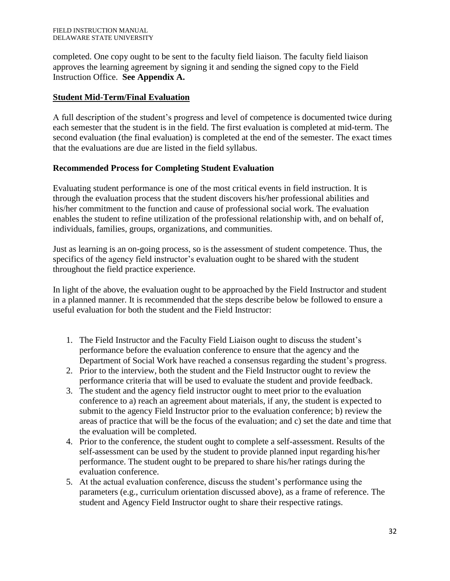completed. One copy ought to be sent to the faculty field liaison. The faculty field liaison approves the learning agreement by signing it and sending the signed copy to the Field Instruction Office. **See Appendix A.** 

#### **Student Mid-Term/Final Evaluation**

A full description of the student's progress and level of competence is documented twice during each semester that the student is in the field. The first evaluation is completed at mid-term. The second evaluation (the final evaluation) is completed at the end of the semester. The exact times that the evaluations are due are listed in the field syllabus.

#### **Recommended Process for Completing Student Evaluation**

Evaluating student performance is one of the most critical events in field instruction. It is through the evaluation process that the student discovers his/her professional abilities and his/her commitment to the function and cause of professional social work. The evaluation enables the student to refine utilization of the professional relationship with, and on behalf of, individuals, families, groups, organizations, and communities.

Just as learning is an on-going process, so is the assessment of student competence. Thus, the specifics of the agency field instructor's evaluation ought to be shared with the student throughout the field practice experience.

In light of the above, the evaluation ought to be approached by the Field Instructor and student in a planned manner. It is recommended that the steps describe below be followed to ensure a useful evaluation for both the student and the Field Instructor:

- 1. The Field Instructor and the Faculty Field Liaison ought to discuss the student's performance before the evaluation conference to ensure that the agency and the Department of Social Work have reached a consensus regarding the student's progress.
- 2. Prior to the interview, both the student and the Field Instructor ought to review the performance criteria that will be used to evaluate the student and provide feedback.
- 3. The student and the agency field instructor ought to meet prior to the evaluation conference to a) reach an agreement about materials, if any, the student is expected to submit to the agency Field Instructor prior to the evaluation conference; b) review the areas of practice that will be the focus of the evaluation; and c) set the date and time that the evaluation will be completed.
- 4. Prior to the conference, the student ought to complete a self-assessment. Results of the self-assessment can be used by the student to provide planned input regarding his/her performance. The student ought to be prepared to share his/her ratings during the evaluation conference.
- 5. At the actual evaluation conference, discuss the student's performance using the parameters (e.g., curriculum orientation discussed above), as a frame of reference. The student and Agency Field Instructor ought to share their respective ratings.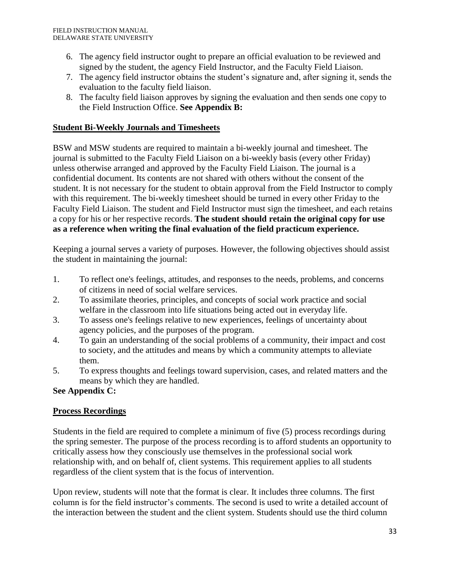- 6. The agency field instructor ought to prepare an official evaluation to be reviewed and signed by the student, the agency Field Instructor, and the Faculty Field Liaison.
- 7. The agency field instructor obtains the student's signature and, after signing it, sends the evaluation to the faculty field liaison.
- 8. The faculty field liaison approves by signing the evaluation and then sends one copy to the Field Instruction Office. **See Appendix B:**

# **Student Bi-Weekly Journals and Timesheets**

BSW and MSW students are required to maintain a bi-weekly journal and timesheet. The journal is submitted to the Faculty Field Liaison on a bi-weekly basis (every other Friday) unless otherwise arranged and approved by the Faculty Field Liaison. The journal is a confidential document. Its contents are not shared with others without the consent of the student. It is not necessary for the student to obtain approval from the Field Instructor to comply with this requirement. The bi-weekly timesheet should be turned in every other Friday to the Faculty Field Liaison. The student and Field Instructor must sign the timesheet, and each retains a copy for his or her respective records. **The student should retain the original copy for use as a reference when writing the final evaluation of the field practicum experience.** 

Keeping a journal serves a variety of purposes. However, the following objectives should assist the student in maintaining the journal:

- 1. To reflect one's feelings, attitudes, and responses to the needs, problems, and concerns of citizens in need of social welfare services.
- 2. To assimilate theories, principles, and concepts of social work practice and social welfare in the classroom into life situations being acted out in everyday life.
- 3. To assess one's feelings relative to new experiences, feelings of uncertainty about agency policies, and the purposes of the program.
- 4. To gain an understanding of the social problems of a community, their impact and cost to society, and the attitudes and means by which a community attempts to alleviate them.
- 5. To express thoughts and feelings toward supervision, cases, and related matters and the means by which they are handled.

#### **See Appendix C:**

# **Process Recordings**

Students in the field are required to complete a minimum of five (5) process recordings during the spring semester. The purpose of the process recording is to afford students an opportunity to critically assess how they consciously use themselves in the professional social work relationship with, and on behalf of, client systems. This requirement applies to all students regardless of the client system that is the focus of intervention.

Upon review, students will note that the format is clear. It includes three columns. The first column is for the field instructor's comments. The second is used to write a detailed account of the interaction between the student and the client system. Students should use the third column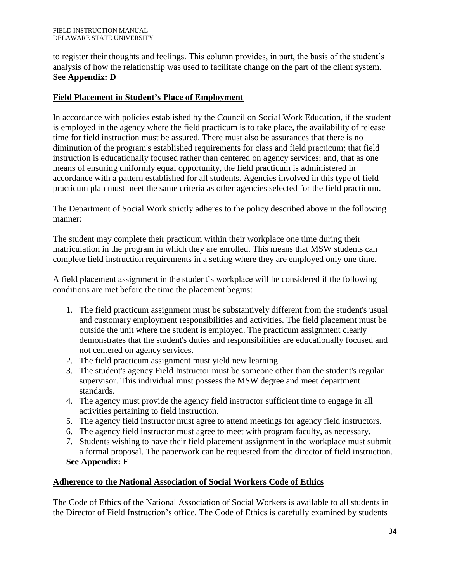to register their thoughts and feelings. This column provides, in part, the basis of the student's analysis of how the relationship was used to facilitate change on the part of the client system. **See Appendix: D**

#### **Field Placement in Student's Place of Employment**

In accordance with policies established by the Council on Social Work Education, if the student is employed in the agency where the field practicum is to take place, the availability of release time for field instruction must be assured. There must also be assurances that there is no diminution of the program's established requirements for class and field practicum; that field instruction is educationally focused rather than centered on agency services; and, that as one means of ensuring uniformly equal opportunity, the field practicum is administered in accordance with a pattern established for all students. Agencies involved in this type of field practicum plan must meet the same criteria as other agencies selected for the field practicum.

The Department of Social Work strictly adheres to the policy described above in the following manner:

The student may complete their practicum within their workplace one time during their matriculation in the program in which they are enrolled. This means that MSW students can complete field instruction requirements in a setting where they are employed only one time.

A field placement assignment in the student's workplace will be considered if the following conditions are met before the time the placement begins:

- 1. The field practicum assignment must be substantively different from the student's usual and customary employment responsibilities and activities. The field placement must be outside the unit where the student is employed. The practicum assignment clearly demonstrates that the student's duties and responsibilities are educationally focused and not centered on agency services.
- 2. The field practicum assignment must yield new learning.
- 3. The student's agency Field Instructor must be someone other than the student's regular supervisor. This individual must possess the MSW degree and meet department standards.
- 4. The agency must provide the agency field instructor sufficient time to engage in all activities pertaining to field instruction.
- 5. The agency field instructor must agree to attend meetings for agency field instructors.
- 6. The agency field instructor must agree to meet with program faculty, as necessary.
- 7. Students wishing to have their field placement assignment in the workplace must submit a formal proposal. The paperwork can be requested from the director of field instruction. **See Appendix: E**

# **Adherence to the National Association of Social Workers Code of Ethics**

The Code of Ethics of the National Association of Social Workers is available to all students in the Director of Field Instruction's office. The Code of Ethics is carefully examined by students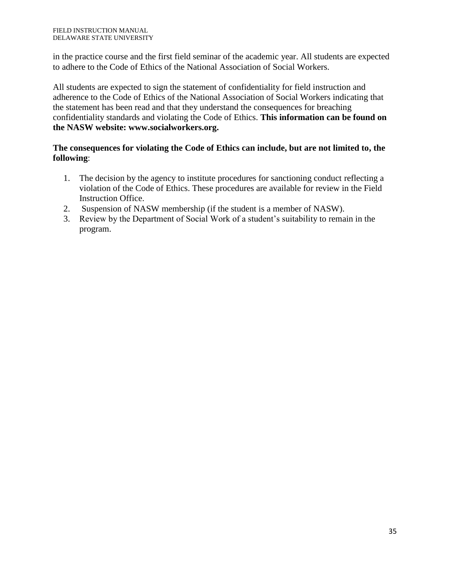in the practice course and the first field seminar of the academic year. All students are expected to adhere to the Code of Ethics of the National Association of Social Workers.

All students are expected to sign the statement of confidentiality for field instruction and adherence to the Code of Ethics of the National Association of Social Workers indicating that the statement has been read and that they understand the consequences for breaching confidentiality standards and violating the Code of Ethics. **This information can be found on the NASW website: www.socialworkers.org.**

#### **The consequences for violating the Code of Ethics can include, but are not limited to, the following**:

- 1. The decision by the agency to institute procedures for sanctioning conduct reflecting a violation of the Code of Ethics. These procedures are available for review in the Field Instruction Office.
- 2. Suspension of NASW membership (if the student is a member of NASW).
- 3. Review by the Department of Social Work of a student's suitability to remain in the program.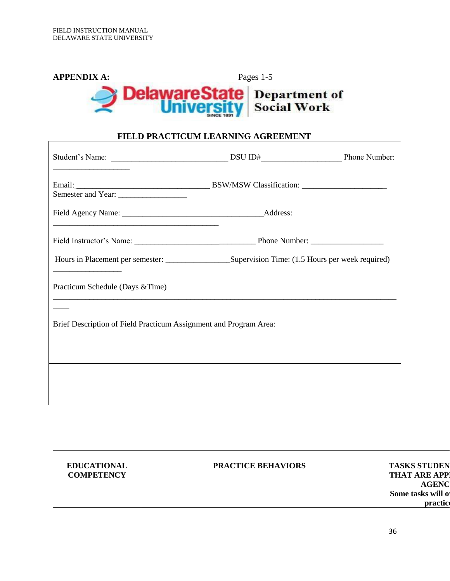Г



#### **FIELD PRACTICUM LEARNING AGREEMENT**

| <u> 1989 - Johann John Stone, mars et al. 1989 - John Stone, mars et al. 1989 - John Stone, mars et al. 1989 - Joh</u> |  |  |  |
|------------------------------------------------------------------------------------------------------------------------|--|--|--|
|                                                                                                                        |  |  |  |
|                                                                                                                        |  |  |  |
| Practicum Schedule (Days & Time)                                                                                       |  |  |  |
| Brief Description of Field Practicum Assignment and Program Area:                                                      |  |  |  |
|                                                                                                                        |  |  |  |
|                                                                                                                        |  |  |  |
|                                                                                                                        |  |  |  |

┑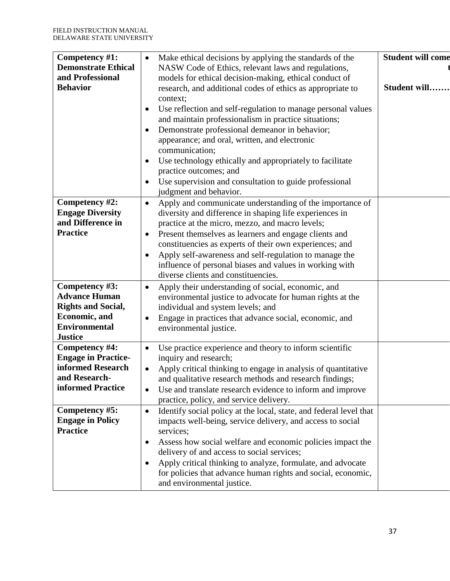| Competency #1:<br><b>Demonstrate Ethical</b><br>and Professional<br><b>Behavior</b>                                                    | Make ethical decisions by applying the standards of the<br>$\bullet$<br>NASW Code of Ethics, relevant laws and regulations,<br>models for ethical decision-making, ethical conduct of<br>research, and additional codes of ethics as appropriate to<br>context;<br>Use reflection and self-regulation to manage personal values<br>and maintain professionalism in practice situations;<br>Demonstrate professional demeanor in behavior;<br>appearance; and oral, written, and electronic<br>communication;<br>Use technology ethically and appropriately to facilitate<br>practice outcomes; and | <b>Student will come</b><br>Student will. |
|----------------------------------------------------------------------------------------------------------------------------------------|----------------------------------------------------------------------------------------------------------------------------------------------------------------------------------------------------------------------------------------------------------------------------------------------------------------------------------------------------------------------------------------------------------------------------------------------------------------------------------------------------------------------------------------------------------------------------------------------------|-------------------------------------------|
| Competency #2:<br><b>Engage Diversity</b>                                                                                              | Use supervision and consultation to guide professional<br>$\bullet$<br>judgment and behavior.<br>Apply and communicate understanding of the importance of<br>$\bullet$<br>diversity and difference in shaping life experiences in                                                                                                                                                                                                                                                                                                                                                                  |                                           |
| and Difference in<br><b>Practice</b>                                                                                                   | practice at the micro, mezzo, and macro levels;<br>Present themselves as learners and engage clients and<br>$\bullet$<br>constituencies as experts of their own experiences; and<br>Apply self-awareness and self-regulation to manage the<br>$\bullet$<br>influence of personal biases and values in working with<br>diverse clients and constituencies.                                                                                                                                                                                                                                          |                                           |
| Competency #3:<br><b>Advance Human</b><br><b>Rights and Social,</b><br><b>Economic</b> , and<br><b>Environmental</b><br><b>Justice</b> | Apply their understanding of social, economic, and<br>$\bullet$<br>environmental justice to advocate for human rights at the<br>individual and system levels; and<br>Engage in practices that advance social, economic, and<br>$\bullet$<br>environmental justice.                                                                                                                                                                                                                                                                                                                                 |                                           |
| Competency #4:<br><b>Engage in Practice-</b><br>informed Research<br>and Research-<br>informed Practice                                | Use practice experience and theory to inform scientific<br>$\bullet$<br>inquiry and research;<br>Apply critical thinking to engage in analysis of quantitative<br>$\bullet$<br>and qualitative research methods and research findings;<br>Use and translate research evidence to inform and improve<br>٠<br>practice, policy, and service delivery.                                                                                                                                                                                                                                                |                                           |
| Competency #5:<br><b>Engage in Policy</b><br><b>Practice</b>                                                                           | Identify social policy at the local, state, and federal level that<br>$\bullet$<br>impacts well-being, service delivery, and access to social<br>services;<br>Assess how social welfare and economic policies impact the<br>$\bullet$<br>delivery of and access to social services;<br>Apply critical thinking to analyze, formulate, and advocate<br>$\bullet$<br>for policies that advance human rights and social, economic,<br>and environmental justice.                                                                                                                                      |                                           |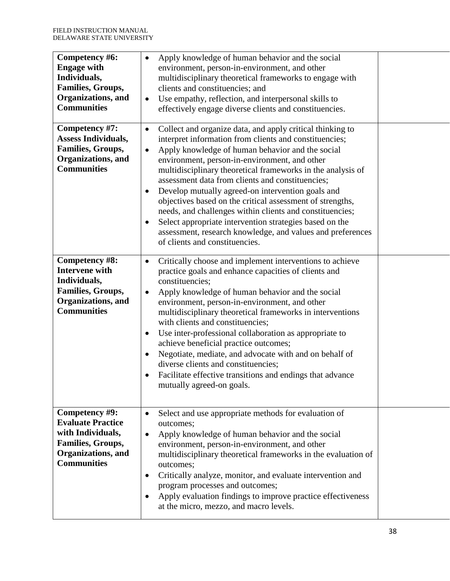| Competency #6:<br><b>Engage with</b><br>Individuals,<br><b>Families, Groups,</b><br>Organizations, and<br><b>Communities</b>            | Apply knowledge of human behavior and the social<br>environment, person-in-environment, and other<br>multidisciplinary theoretical frameworks to engage with<br>clients and constituencies; and<br>Use empathy, reflection, and interpersonal skills to<br>$\bullet$<br>effectively engage diverse clients and constituencies.                                                                                                                                                                                                                                                                                                                                                                                                           |  |
|-----------------------------------------------------------------------------------------------------------------------------------------|------------------------------------------------------------------------------------------------------------------------------------------------------------------------------------------------------------------------------------------------------------------------------------------------------------------------------------------------------------------------------------------------------------------------------------------------------------------------------------------------------------------------------------------------------------------------------------------------------------------------------------------------------------------------------------------------------------------------------------------|--|
| Competency #7:<br><b>Assess Individuals,</b><br><b>Families, Groups,</b><br>Organizations, and<br><b>Communities</b>                    | Collect and organize data, and apply critical thinking to<br>$\bullet$<br>interpret information from clients and constituencies;<br>Apply knowledge of human behavior and the social<br>$\bullet$<br>environment, person-in-environment, and other<br>multidisciplinary theoretical frameworks in the analysis of<br>assessment data from clients and constituencies;<br>Develop mutually agreed-on intervention goals and<br>$\bullet$<br>objectives based on the critical assessment of strengths,<br>needs, and challenges within clients and constituencies;<br>Select appropriate intervention strategies based on the<br>$\bullet$<br>assessment, research knowledge, and values and preferences<br>of clients and constituencies. |  |
| Competency #8:<br><b>Intervene</b> with<br>Individuals,<br><b>Families, Groups,</b><br>Organizations, and<br><b>Communities</b>         | Critically choose and implement interventions to achieve<br>$\bullet$<br>practice goals and enhance capacities of clients and<br>constituencies;<br>Apply knowledge of human behavior and the social<br>$\bullet$<br>environment, person-in-environment, and other<br>multidisciplinary theoretical frameworks in interventions<br>with clients and constituencies;<br>Use inter-professional collaboration as appropriate to<br>$\bullet$<br>achieve beneficial practice outcomes;<br>Negotiate, mediate, and advocate with and on behalf of<br>$\bullet$<br>diverse clients and constituencies;<br>Facilitate effective transitions and endings that advance<br>mutually agreed-on goals.                                              |  |
| Competency #9:<br><b>Evaluate Practice</b><br>with Individuals,<br><b>Families, Groups,</b><br>Organizations, and<br><b>Communities</b> | Select and use appropriate methods for evaluation of<br>$\bullet$<br>outcomes;<br>Apply knowledge of human behavior and the social<br>$\bullet$<br>environment, person-in-environment, and other<br>multidisciplinary theoretical frameworks in the evaluation of<br>outcomes;<br>Critically analyze, monitor, and evaluate intervention and<br>٠<br>program processes and outcomes;<br>Apply evaluation findings to improve practice effectiveness<br>at the micro, mezzo, and macro levels.                                                                                                                                                                                                                                            |  |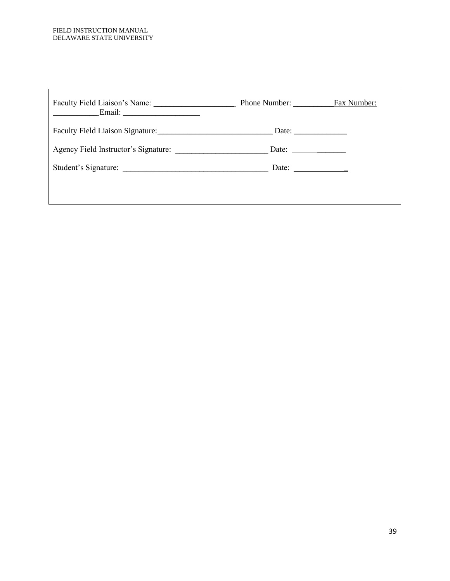| Email:                                             | Phone Number: <u>Fax Number:</u>                                            |  |
|----------------------------------------------------|-----------------------------------------------------------------------------|--|
| Faculty Field Liaison Signature: Date: Date: Date: |                                                                             |  |
| Agency Field Instructor's Signature:               | Date: $\frac{1}{\sqrt{1-\frac{1}{2}} \cdot \frac{1}{\sqrt{1-\frac{1}{2}}}}$ |  |
| Student's Signature:                               | Date: $\frac{1}{\sqrt{1-\frac{1}{2}} \cdot \frac{1}{2}}$                    |  |
|                                                    |                                                                             |  |
|                                                    |                                                                             |  |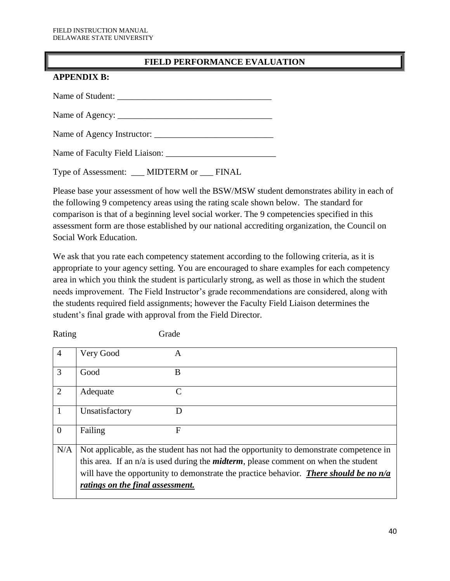# **FIELD PERFORMANCE EVALUATION**

#### **APPENDIX B:**

Name of Student:

Name of Agency: \_\_\_\_\_\_\_\_\_\_\_\_\_\_\_\_\_\_\_\_\_\_\_\_\_\_\_\_\_\_\_\_\_\_\_

Name of Agency Instructor: \_\_\_\_\_\_\_\_\_\_\_\_\_\_\_\_\_\_\_\_\_\_\_\_\_\_\_

Name of Faculty Field Liaison: \_\_\_\_\_\_\_\_\_\_\_\_\_\_\_\_\_\_\_\_\_\_\_\_\_

Type of Assessment: \_\_\_ MIDTERM or \_\_\_ FINAL

Please base your assessment of how well the BSW/MSW student demonstrates ability in each of the following 9 competency areas using the rating scale shown below. The standard for comparison is that of a beginning level social worker. The 9 competencies specified in this assessment form are those established by our national accrediting organization, the Council on Social Work Education.

We ask that you rate each competency statement according to the following criteria, as it is appropriate to your agency setting. You are encouraged to share examples for each competency area in which you think the student is particularly strong, as well as those in which the student needs improvement. The Field Instructor's grade recommendations are considered, along with the students required field assignments; however the Faculty Field Liaison determines the student's final grade with approval from the Field Director.

| Rating         |                                  | Grade     |                                                                                               |
|----------------|----------------------------------|-----------|-----------------------------------------------------------------------------------------------|
| $\overline{4}$ | Very Good                        | A         |                                                                                               |
| 3              | Good                             | B         |                                                                                               |
| $\overline{2}$ | Adequate                         | $\subset$ |                                                                                               |
| 1              | Unsatisfactory                   | D         |                                                                                               |
| $\overline{0}$ | Failing                          | F         |                                                                                               |
| N/A            |                                  |           | Not applicable, as the student has not had the opportunity to demonstrate competence in       |
|                |                                  |           | this area. If an $n/a$ is used during the <i>midterm</i> , please comment on when the student |
|                |                                  |           | will have the opportunity to demonstrate the practice behavior. There should be no $n/a$      |
|                | ratings on the final assessment. |           |                                                                                               |
|                |                                  |           |                                                                                               |

40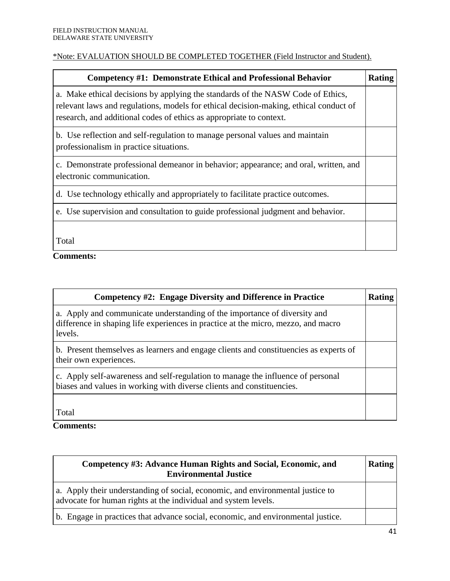# \*Note: EVALUATION SHOULD BE COMPLETED TOGETHER (Field Instructor and Student).

| Competency #1: Demonstrate Ethical and Professional Behavior                                                                                                                                                                                    | Rating |
|-------------------------------------------------------------------------------------------------------------------------------------------------------------------------------------------------------------------------------------------------|--------|
| a. Make ethical decisions by applying the standards of the NASW Code of Ethics,<br>relevant laws and regulations, models for ethical decision-making, ethical conduct of<br>research, and additional codes of ethics as appropriate to context. |        |
| b. Use reflection and self-regulation to manage personal values and maintain<br>professionalism in practice situations.                                                                                                                         |        |
| c. Demonstrate professional demeanor in behavior; appearance; and oral, written, and<br>electronic communication.                                                                                                                               |        |
| d. Use technology ethically and appropriately to facilitate practice outcomes.                                                                                                                                                                  |        |
| e. Use supervision and consultation to guide professional judgment and behavior.                                                                                                                                                                |        |
| Total                                                                                                                                                                                                                                           |        |

# **Comments:**

| Competency #2: Engage Diversity and Difference in Practice                                                                                                                | <b>Rating</b> |
|---------------------------------------------------------------------------------------------------------------------------------------------------------------------------|---------------|
| a. Apply and communicate understanding of the importance of diversity and<br>difference in shaping life experiences in practice at the micro, mezzo, and macro<br>levels. |               |
| b. Present themselves as learners and engage clients and constituencies as experts of<br>their own experiences.                                                           |               |
| c. Apply self-awareness and self-regulation to manage the influence of personal<br>biases and values in working with diverse clients and constituencies.                  |               |
| Total                                                                                                                                                                     |               |

**Comments:**

| Competency #3: Advance Human Rights and Social, Economic, and<br><b>Environmental Justice</b>                                                    | Rating |
|--------------------------------------------------------------------------------------------------------------------------------------------------|--------|
| a. Apply their understanding of social, economic, and environmental justice to<br>advocate for human rights at the individual and system levels. |        |
| b. Engage in practices that advance social, economic, and environmental justice.                                                                 |        |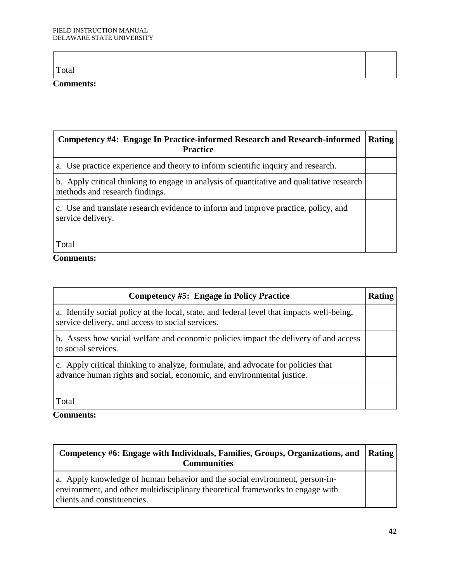#### Total

#### **Comments:**

| Competency #4: Engage In Practice-informed Research and Research-informed<br><b>Practice</b>                                | <b>Rating</b> |
|-----------------------------------------------------------------------------------------------------------------------------|---------------|
| a. Use practice experience and theory to inform scientific inquiry and research.                                            |               |
| b. Apply critical thinking to engage in analysis of quantitative and qualitative research<br>methods and research findings. |               |
| c. Use and translate research evidence to inform and improve practice, policy, and<br>service delivery.                     |               |
| Total                                                                                                                       |               |

# **Comments:**

| Competency #5: Engage in Policy Practice                                                                                                                  | Rating |
|-----------------------------------------------------------------------------------------------------------------------------------------------------------|--------|
| a. Identify social policy at the local, state, and federal level that impacts well-being,<br>service delivery, and access to social services.             |        |
| b. Assess how social welfare and economic policies impact the delivery of and access<br>to social services.                                               |        |
| c. Apply critical thinking to analyze, formulate, and advocate for policies that<br>advance human rights and social, economic, and environmental justice. |        |
| Total                                                                                                                                                     |        |

**Comments:**

| Competency #6: Engage with Individuals, Families, Groups, Organizations, and   Rating  <br><b>Communities</b>                                                                                |  |
|----------------------------------------------------------------------------------------------------------------------------------------------------------------------------------------------|--|
| a. Apply knowledge of human behavior and the social environment, person-in-<br>environment, and other multidisciplinary theoretical frameworks to engage with<br>clients and constituencies. |  |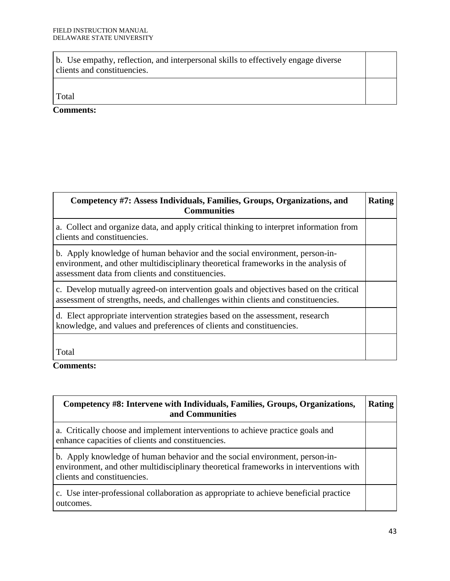b. Use empathy, reflection, and interpersonal skills to effectively engage diverse clients and constituencies.

Total

#### **Comments:**

| Competency #7: Assess Individuals, Families, Groups, Organizations, and<br><b>Communities</b>                                                                                                                         | Rating |
|-----------------------------------------------------------------------------------------------------------------------------------------------------------------------------------------------------------------------|--------|
| a. Collect and organize data, and apply critical thinking to interpret information from<br>clients and constituencies.                                                                                                |        |
| b. Apply knowledge of human behavior and the social environment, person-in-<br>environment, and other multidisciplinary theoretical frameworks in the analysis of<br>assessment data from clients and constituencies. |        |
| c. Develop mutually agreed-on intervention goals and objectives based on the critical<br>assessment of strengths, needs, and challenges within clients and constituencies.                                            |        |
| d. Elect appropriate intervention strategies based on the assessment, research<br>knowledge, and values and preferences of clients and constituencies.                                                                |        |
| Total                                                                                                                                                                                                                 |        |

**Comments:**

| Competency #8: Intervene with Individuals, Families, Groups, Organizations,<br>and Communities                                                                                                      | <b>Rating</b> |
|-----------------------------------------------------------------------------------------------------------------------------------------------------------------------------------------------------|---------------|
| a. Critically choose and implement interventions to achieve practice goals and<br>enhance capacities of clients and constituencies.                                                                 |               |
| b. Apply knowledge of human behavior and the social environment, person-in-<br>environment, and other multidisciplinary theoretical frameworks in interventions with<br>clients and constituencies. |               |
| c. Use inter-professional collaboration as appropriate to achieve beneficial practice<br>outcomes.                                                                                                  |               |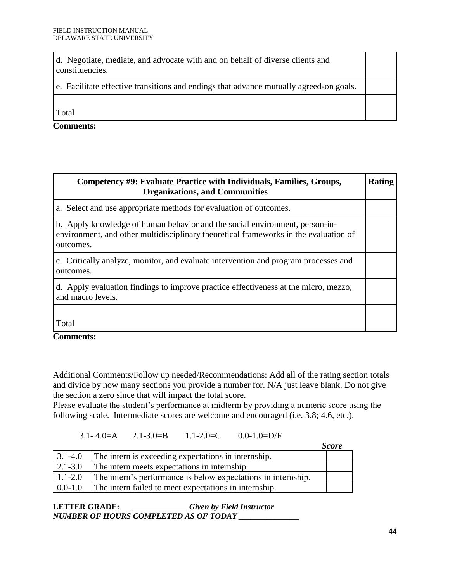| d. Negotiate, mediate, and advocate with and on behalf of diverse clients and<br>constituencies. |  |
|--------------------------------------------------------------------------------------------------|--|
| e. Facilitate effective transitions and endings that advance mutually agreed-on goals.           |  |
| Total                                                                                            |  |

**Comments:**

| Competency #9: Evaluate Practice with Individuals, Families, Groups,<br><b>Organizations, and Communities</b>                                                                    | <b>Rating</b> |
|----------------------------------------------------------------------------------------------------------------------------------------------------------------------------------|---------------|
| a. Select and use appropriate methods for evaluation of outcomes.                                                                                                                |               |
| b. Apply knowledge of human behavior and the social environment, person-in-<br>environment, and other multidisciplinary theoretical frameworks in the evaluation of<br>outcomes. |               |
| c. Critically analyze, monitor, and evaluate intervention and program processes and<br>outcomes.                                                                                 |               |
| d. Apply evaluation findings to improve practice effectiveness at the micro, mezzo,<br>and macro levels.                                                                         |               |
| Total                                                                                                                                                                            |               |

**Comments:**

Additional Comments/Follow up needed/Recommendations: Add all of the rating section totals and divide by how many sections you provide a number for. N/A just leave blank. Do not give the section a zero since that will impact the total score.

Please evaluate the student's performance at midterm by providing a numeric score using the following scale. Intermediate scores are welcome and encouraged (i.e. 3.8; 4.6, etc.).

3.1- 4.0=A 2.1-3.0=B 1.1-2.0=C 0.0-1.0=D/F

|             |                                                               | <b>Score</b> |
|-------------|---------------------------------------------------------------|--------------|
| $3.1 - 4.0$ | The intern is exceeding expectations in internship.           |              |
| $2.1 - 3.0$ | The intern meets expectations in internship.                  |              |
| $1.1 - 2.0$ | The intern's performance is below expectations in internship. |              |
| $0.0 - 1.0$ | The intern failed to meet expectations in internship.         |              |

**LETTER GRADE:** *Given by Field Instructor NUMBER OF HOURS COMPLETED AS OF TODAY \_\_\_\_\_\_\_\_\_\_\_\_\_\_\_*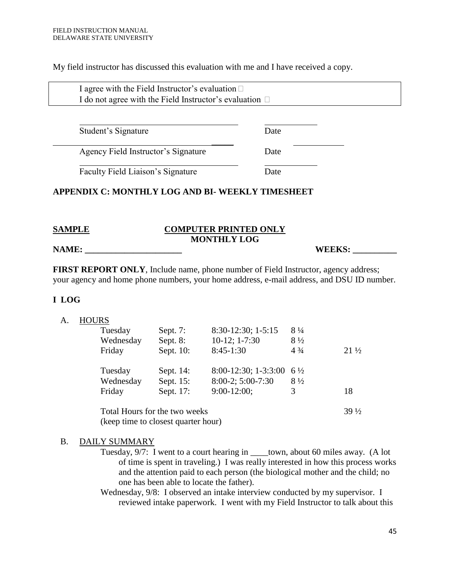My field instructor has discussed this evaluation with me and I have received a copy.

| I agree with the Field Instructor's evaluation $\Box$        |      |  |
|--------------------------------------------------------------|------|--|
| I do not agree with the Field Instructor's evaluation $\Box$ |      |  |
|                                                              |      |  |
| Student's Signature                                          | Date |  |
| Agency Field Instructor's Signature                          | Date |  |
| Faculty Field Liaison's Signature                            | Date |  |
| <b>APPENDIX C: MONTHLY LOG AND BI- WEEKLY TIMESHEET</b>      |      |  |

| SAMPLE | <b>COMPUTER PRINTED ONLY</b> |
|--------|------------------------------|
|        | <b>MONTHLY LOG</b>           |

**NAME: \_\_\_\_\_\_\_\_\_\_\_\_\_\_\_\_\_\_\_\_\_\_ WEEKS: \_\_\_\_\_\_\_\_\_\_**

**FIRST REPORT ONLY**, Include name, phone number of Field Instructor, agency address; your agency and home phone numbers, your home address, e-mail address, and DSU ID number.

#### **I LOG**

A. HOURS

| Tuesday   | Sept. 7:                                                             | $8:30-12:30; 1-5:15$ | $8\frac{1}{4}$ |                 |
|-----------|----------------------------------------------------------------------|----------------------|----------------|-----------------|
| Wednesday | Sept. 8:                                                             | $10-12; 1-7:30$      | $8\frac{1}{2}$ |                 |
| Friday    | Sept. 10:                                                            | $8:45-1:30$          | $4\frac{3}{4}$ | $21\frac{1}{2}$ |
| Tuesday   | Sept. 14:                                                            | 8:00-12:30; 1-3:3:00 | $6\frac{1}{2}$ |                 |
| Wednesday | Sept. 15:                                                            | 8:00-2; 5:00-7:30    | $8\frac{1}{2}$ |                 |
| Friday    | Sept. 17:                                                            | $9:00-12:00;$        | 3              | 18              |
|           | Total Hours for the two weeks<br>(keep time to closest quarter hour) |                      |                | $39\frac{1}{2}$ |

#### B. DAILY SUMMARY

Tuesday, 9/7: I went to a court hearing in \_\_\_\_town, about 60 miles away. (A lot of time is spent in traveling.) I was really interested in how this process works and the attention paid to each person (the biological mother and the child; no one has been able to locate the father).

Wednesday, 9/8: I observed an intake interview conducted by my supervisor. I reviewed intake paperwork. I went with my Field Instructor to talk about this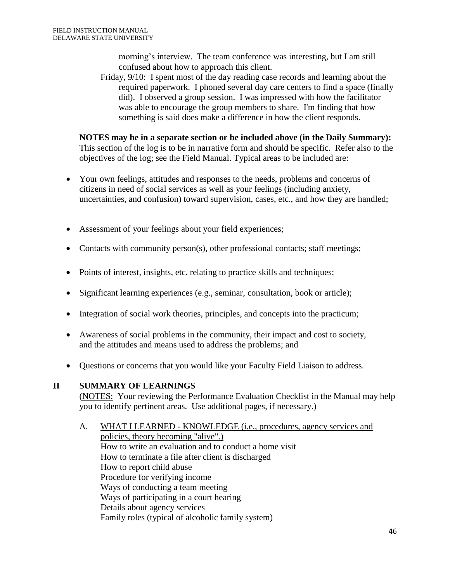morning's interview. The team conference was interesting, but I am still confused about how to approach this client.

Friday, 9/10: I spent most of the day reading case records and learning about the required paperwork. I phoned several day care centers to find a space (finally did). I observed a group session. I was impressed with how the facilitator was able to encourage the group members to share. I'm finding that how something is said does make a difference in how the client responds.

**NOTES may be in a separate section or be included above (in the Daily Summary):** This section of the log is to be in narrative form and should be specific. Refer also to the objectives of the log; see the Field Manual. Typical areas to be included are:

- Your own feelings, attitudes and responses to the needs, problems and concerns of citizens in need of social services as well as your feelings (including anxiety, uncertainties, and confusion) toward supervision, cases, etc., and how they are handled;
- Assessment of your feelings about your field experiences;
- Contacts with community person(s), other professional contacts; staff meetings;
- Points of interest, insights, etc. relating to practice skills and techniques;
- Significant learning experiences (e.g., seminar, consultation, book or article);
- Integration of social work theories, principles, and concepts into the practicum;
- Awareness of social problems in the community, their impact and cost to society, and the attitudes and means used to address the problems; and
- Questions or concerns that you would like your Faculty Field Liaison to address.

#### **II SUMMARY OF LEARNINGS**

(NOTES: Your reviewing the Performance Evaluation Checklist in the Manual may help you to identify pertinent areas. Use additional pages, if necessary.)

#### A. WHAT I LEARNED - KNOWLEDGE (i.e., procedures, agency services and policies, theory becoming "alive".) How to write an evaluation and to conduct a home visit How to terminate a file after client is discharged How to report child abuse Procedure for verifying income Ways of conducting a team meeting Ways of participating in a court hearing Details about agency services Family roles (typical of alcoholic family system)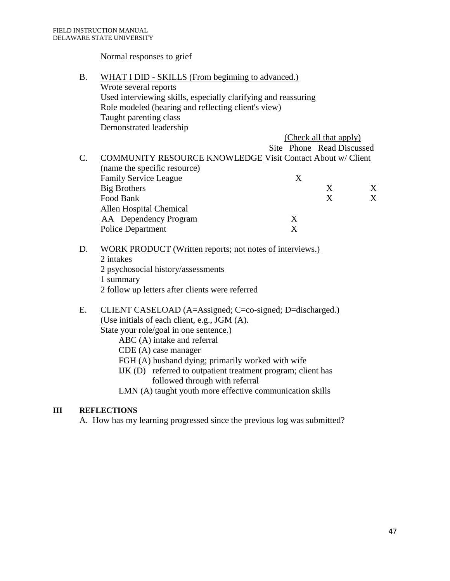Normal responses to grief

|                       | <b>B.</b> | WHAT I DID - SKILLS (From beginning to advanced.)                 |   |                           |             |
|-----------------------|-----------|-------------------------------------------------------------------|---|---------------------------|-------------|
| Wrote several reports |           |                                                                   |   |                           |             |
|                       |           | Used interviewing skills, especially clarifying and reassuring    |   |                           |             |
|                       |           | Role modeled (hearing and reflecting client's view)               |   |                           |             |
|                       |           | Taught parenting class                                            |   |                           |             |
|                       |           | Demonstrated leadership                                           |   |                           |             |
|                       |           |                                                                   |   | (Check all that apply)    |             |
|                       |           |                                                                   |   | Site Phone Read Discussed |             |
|                       | C.        | <b>COMMUNITY RESOURCE KNOWLEDGE Visit Contact About w/ Client</b> |   |                           |             |
|                       |           | (name the specific resource)                                      |   |                           |             |
|                       |           | <b>Family Service League</b>                                      | X |                           |             |
|                       |           | <b>Big Brothers</b>                                               |   | X                         | $\mathbf X$ |
|                       |           | Food Bank                                                         |   | X                         | X           |
|                       |           | <b>Allen Hospital Chemical</b>                                    |   |                           |             |
|                       |           | AA Dependency Program                                             | X |                           |             |
|                       |           | <b>Police Department</b>                                          | X |                           |             |
|                       | D.        | WORK PRODUCT (Written reports; not notes of interviews.)          |   |                           |             |
|                       |           | 2 intakes                                                         |   |                           |             |
|                       |           | 2 psychosocial history/assessments                                |   |                           |             |
|                       |           | 1 summary                                                         |   |                           |             |
|                       |           | 2 follow up letters after clients were referred                   |   |                           |             |
|                       | E.        | CLIENT CASELOAD (A=Assigned; C=co-signed; D=discharged.)          |   |                           |             |
|                       |           | (Use initials of each client, e.g., JGM (A).                      |   |                           |             |
|                       |           | State your role/goal in one sentence.)                            |   |                           |             |
|                       |           | ABC (A) intake and referral                                       |   |                           |             |
|                       |           | $CDE(A)$ case manager                                             |   |                           |             |
|                       |           | FGH (A) husband dying; primarily worked with wife                 |   |                           |             |
|                       |           | IJK (D) referred to outpatient treatment program; client has      |   |                           |             |
|                       |           | followed through with referral                                    |   |                           |             |
|                       |           | LMN (A) taught youth more effective communication skills          |   |                           |             |
|                       |           |                                                                   |   |                           |             |

# **III REFLECTIONS**

A. How has my learning progressed since the previous log was submitted?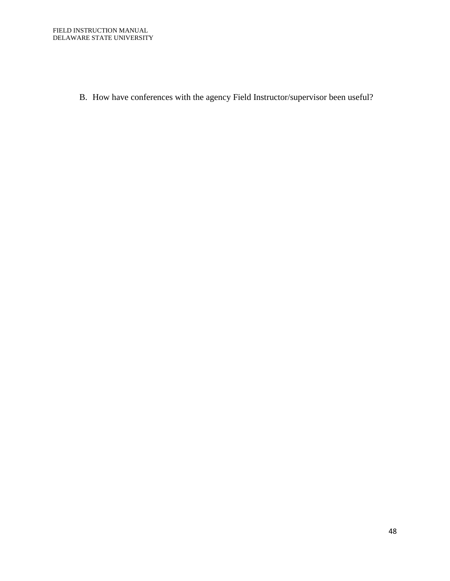B. How have conferences with the agency Field Instructor/supervisor been useful?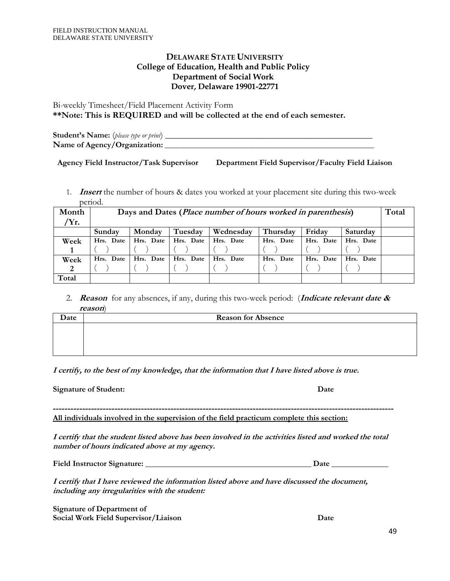#### **DELAWARE STATE UNIVERSITY College of Education, Health and Public Policy Department of Social Work Dover, Delaware 19901-22771**

Bi-weekly Timesheet/Field Placement Activity Form **\*\*Note: This is REQUIRED and will be collected at the end of each semester.**

**Student's Name:** (*please type or print*) \_\_\_\_\_\_\_\_\_\_\_\_\_\_\_\_\_\_\_\_\_\_\_\_\_\_\_\_\_\_\_\_\_\_\_\_\_\_\_\_\_\_\_\_\_\_\_ **Name of Agency/Organization:** \_\_\_\_\_\_\_\_\_\_\_\_\_\_\_\_\_\_\_\_\_\_\_\_\_\_\_\_\_\_\_\_\_\_\_\_\_\_\_\_\_\_\_\_\_\_\_\_\_\_\_\_\_\_\_\_\_

**Agency Field Instructor/Task Supervisor Department Field Supervisor/Faculty Field Liaison**

1. **Insert** the number of hours & dates you worked at your placement site during this two-week period.

| Month | Days and Dates ( <i>Place number of hours worked in parenthesis</i> ) |           |           |           |           | Total     |           |  |
|-------|-----------------------------------------------------------------------|-----------|-----------|-----------|-----------|-----------|-----------|--|
| Yr.   |                                                                       |           |           |           |           |           |           |  |
|       | Sunday                                                                | Monday    | Tuesday   | Wednesday | Thursday  | Friday    | Saturday  |  |
| Week  | Hrs. Date                                                             | Hrs. Date | Hrs. Date | Hrs. Date | Hrs. Date | Hrs. Date | Hrs. Date |  |
|       |                                                                       |           |           |           |           |           |           |  |
| Week  | Hrs. Date                                                             | Hrs. Date | Hrs. Date | Hrs. Date | Hrs. Date | Hrs. Date | Hrs. Date |  |
| 2     |                                                                       |           |           |           |           |           |           |  |
| Total |                                                                       |           |           |           |           |           |           |  |

2. **Reason** for any absences, if any, during this two-week period: (**Indicate relevant date & reason**)

| Date | <b>Reason for Absence</b> |
|------|---------------------------|
|      |                           |
|      |                           |
|      |                           |
|      |                           |

**I certify, to the best of my knowledge, that the information that I have listed above is true.**

#### **Signature of Student: Date**

**-------------------------------------------------------------------------------------------------------------------- All individuals involved in the supervision of the field practicum complete this section:**

**I certify that the student listed above has been involved in the activities listed and worked the total number of hours indicated above at my agency.**

**Field Instructor Signature: \_\_\_\_\_\_\_\_\_\_\_\_\_\_\_\_\_\_\_\_\_\_\_\_\_\_\_\_\_\_\_\_\_\_\_\_\_\_\_\_\_ Date \_\_\_\_\_\_\_\_\_\_\_\_\_\_**

**I certify that I have reviewed the information listed above and have discussed the document, including any irregularities with the student:**

**Signature of Department of Social Work Field Supervisor/Liaison Date**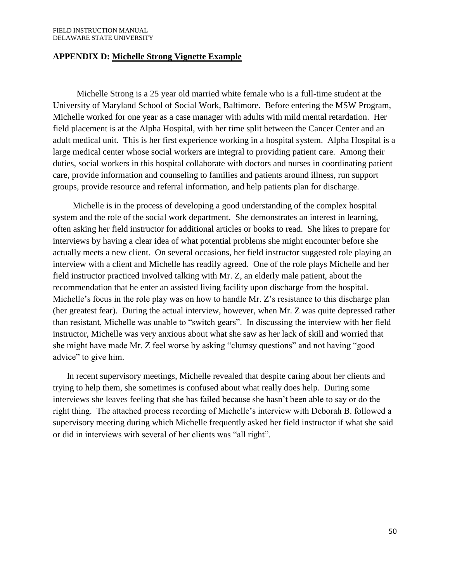#### FIELD INSTRUCTION MANUAL DELAWARE STATE UNIVERSITY

#### **APPENDIX D: Michelle Strong Vignette Example**

 Michelle Strong is a 25 year old married white female who is a full-time student at the University of Maryland School of Social Work, Baltimore. Before entering the MSW Program, Michelle worked for one year as a case manager with adults with mild mental retardation. Her field placement is at the Alpha Hospital, with her time split between the Cancer Center and an adult medical unit. This is her first experience working in a hospital system. Alpha Hospital is a large medical center whose social workers are integral to providing patient care. Among their duties, social workers in this hospital collaborate with doctors and nurses in coordinating patient care, provide information and counseling to families and patients around illness, run support groups, provide resource and referral information, and help patients plan for discharge.

 Michelle is in the process of developing a good understanding of the complex hospital system and the role of the social work department. She demonstrates an interest in learning, often asking her field instructor for additional articles or books to read. She likes to prepare for interviews by having a clear idea of what potential problems she might encounter before she actually meets a new client. On several occasions, her field instructor suggested role playing an interview with a client and Michelle has readily agreed. One of the role plays Michelle and her field instructor practiced involved talking with Mr. Z, an elderly male patient, about the recommendation that he enter an assisted living facility upon discharge from the hospital. Michelle's focus in the role play was on how to handle Mr. Z's resistance to this discharge plan (her greatest fear). During the actual interview, however, when Mr. Z was quite depressed rather than resistant, Michelle was unable to "switch gears". In discussing the interview with her field instructor, Michelle was very anxious about what she saw as her lack of skill and worried that she might have made Mr. Z feel worse by asking "clumsy questions" and not having "good advice" to give him.

In recent supervisory meetings, Michelle revealed that despite caring about her clients and trying to help them, she sometimes is confused about what really does help. During some interviews she leaves feeling that she has failed because she hasn't been able to say or do the right thing. The attached process recording of Michelle's interview with Deborah B. followed a supervisory meeting during which Michelle frequently asked her field instructor if what she said or did in interviews with several of her clients was "all right".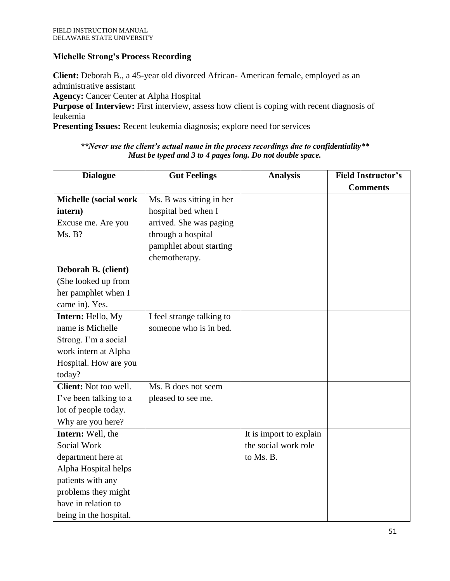# **Michelle Strong's Process Recording**

**Client:** Deborah B., a 45-year old divorced African- American female, employed as an administrative assistant **Agency:** Cancer Center at Alpha Hospital **Purpose of Interview:** First interview, assess how client is coping with recent diagnosis of leukemia

**Presenting Issues:** Recent leukemia diagnosis; explore need for services

#### *\*\*Never use the client's actual name in the process recordings due to confidentiality\*\* Must be typed and 3 to 4 pages long. Do not double space.*

| <b>Dialogue</b>              | <b>Gut Feelings</b>       | <b>Analysis</b>         | <b>Field Instructor's</b><br><b>Comments</b> |
|------------------------------|---------------------------|-------------------------|----------------------------------------------|
|                              |                           |                         |                                              |
| <b>Michelle (social work</b> | Ms. B was sitting in her  |                         |                                              |
| intern)                      | hospital bed when I       |                         |                                              |
| Excuse me. Are you           | arrived. She was paging   |                         |                                              |
| Ms. B?                       | through a hospital        |                         |                                              |
|                              | pamphlet about starting   |                         |                                              |
|                              | chemotherapy.             |                         |                                              |
| Deborah B. (client)          |                           |                         |                                              |
| (She looked up from          |                           |                         |                                              |
| her pamphlet when I          |                           |                         |                                              |
| came in). Yes.               |                           |                         |                                              |
| Intern: Hello, My            | I feel strange talking to |                         |                                              |
| name is Michelle             | someone who is in bed.    |                         |                                              |
| Strong. I'm a social         |                           |                         |                                              |
| work intern at Alpha         |                           |                         |                                              |
| Hospital. How are you        |                           |                         |                                              |
| today?                       |                           |                         |                                              |
| Client: Not too well.        | Ms. B does not seem       |                         |                                              |
| I've been talking to a       | pleased to see me.        |                         |                                              |
| lot of people today.         |                           |                         |                                              |
| Why are you here?            |                           |                         |                                              |
| Intern: Well, the            |                           | It is import to explain |                                              |
| Social Work                  |                           | the social work role    |                                              |
| department here at           |                           | to Ms. B.               |                                              |
| Alpha Hospital helps         |                           |                         |                                              |
| patients with any            |                           |                         |                                              |
| problems they might          |                           |                         |                                              |
| have in relation to          |                           |                         |                                              |
| being in the hospital.       |                           |                         |                                              |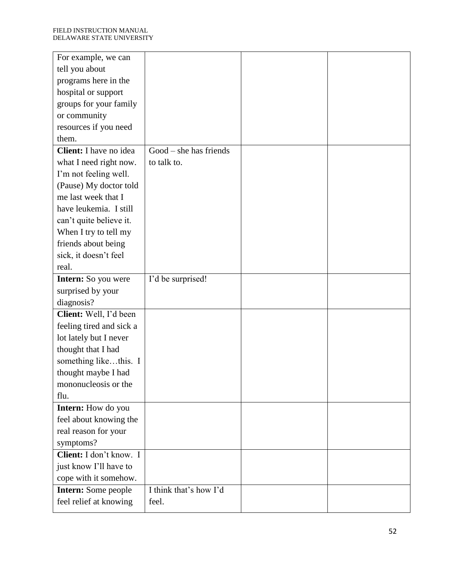| For example, we can        |                        |  |
|----------------------------|------------------------|--|
| tell you about             |                        |  |
| programs here in the       |                        |  |
| hospital or support        |                        |  |
| groups for your family     |                        |  |
| or community               |                        |  |
| resources if you need      |                        |  |
| them.                      |                        |  |
| Client: I have no idea     | Good - she has friends |  |
| what I need right now.     | to talk to.            |  |
| I'm not feeling well.      |                        |  |
| (Pause) My doctor told     |                        |  |
| me last week that I        |                        |  |
| have leukemia. I still     |                        |  |
| can't quite believe it.    |                        |  |
| When I try to tell my      |                        |  |
| friends about being        |                        |  |
| sick, it doesn't feel      |                        |  |
| real.                      |                        |  |
| <b>Intern:</b> So you were | I'd be surprised!      |  |
| surprised by your          |                        |  |
| diagnosis?                 |                        |  |
| Client: Well, I'd been     |                        |  |
| feeling tired and sick a   |                        |  |
| lot lately but I never     |                        |  |
| thought that I had         |                        |  |
| something likethis. I      |                        |  |
| thought maybe I had        |                        |  |
| mononucleosis or the       |                        |  |
| flu.                       |                        |  |
| <b>Intern:</b> How do you  |                        |  |
| feel about knowing the     |                        |  |
| real reason for your       |                        |  |
| symptoms?                  |                        |  |
| Client: I don't know. I    |                        |  |
| just know I'll have to     |                        |  |
| cope with it somehow.      |                        |  |
| <b>Intern:</b> Some people | I think that's how I'd |  |
| feel relief at knowing     | feel.                  |  |
|                            |                        |  |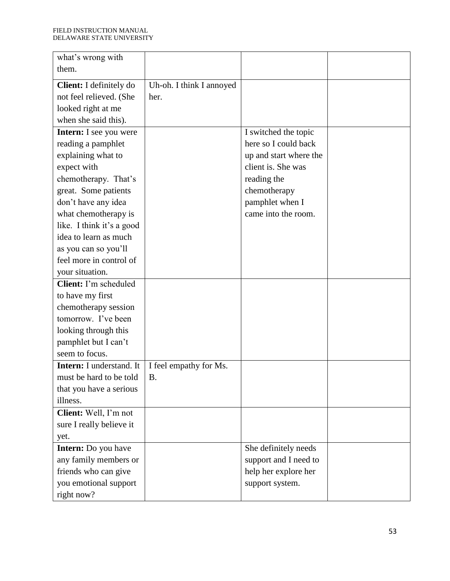| what's wrong with              |                          |                        |  |
|--------------------------------|--------------------------|------------------------|--|
| them.                          |                          |                        |  |
|                                |                          |                        |  |
| <b>Client:</b> I definitely do | Uh-oh. I think I annoyed |                        |  |
| not feel relieved. (She        | her.                     |                        |  |
| looked right at me             |                          |                        |  |
| when she said this).           |                          |                        |  |
| <b>Intern:</b> I see you were  |                          | I switched the topic   |  |
| reading a pamphlet             |                          | here so I could back   |  |
| explaining what to             |                          | up and start where the |  |
| expect with                    |                          | client is. She was     |  |
| chemotherapy. That's           |                          | reading the            |  |
| great. Some patients           |                          | chemotherapy           |  |
| don't have any idea            |                          | pamphlet when I        |  |
| what chemotherapy is           |                          | came into the room.    |  |
| like. I think it's a good      |                          |                        |  |
| idea to learn as much          |                          |                        |  |
| as you can so you'll           |                          |                        |  |
| feel more in control of        |                          |                        |  |
| your situation.                |                          |                        |  |
| Client: I'm scheduled          |                          |                        |  |
| to have my first               |                          |                        |  |
| chemotherapy session           |                          |                        |  |
| tomorrow. I've been            |                          |                        |  |
| looking through this           |                          |                        |  |
| pamphlet but I can't           |                          |                        |  |
| seem to focus.                 |                          |                        |  |
| Intern: I understand. It       | I feel empathy for Ms.   |                        |  |
| must be hard to be told        | B.                       |                        |  |
| that you have a serious        |                          |                        |  |
| illness.                       |                          |                        |  |
| Client: Well, I'm not          |                          |                        |  |
| sure I really believe it       |                          |                        |  |
| yet.                           |                          |                        |  |
| <b>Intern:</b> Do you have     |                          | She definitely needs   |  |
| any family members or          |                          | support and I need to  |  |
| friends who can give           |                          | help her explore her   |  |
| you emotional support          |                          | support system.        |  |
|                                |                          |                        |  |
| right now?                     |                          |                        |  |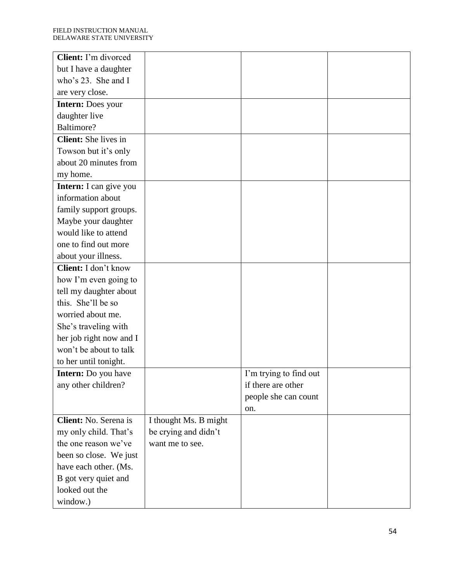| Client: I'm divorced       |                       |                        |  |
|----------------------------|-----------------------|------------------------|--|
| but I have a daughter      |                       |                        |  |
| who's 23. She and I        |                       |                        |  |
| are very close.            |                       |                        |  |
| <b>Intern:</b> Does your   |                       |                        |  |
| daughter live              |                       |                        |  |
| Baltimore?                 |                       |                        |  |
| Client: She lives in       |                       |                        |  |
| Towson but it's only       |                       |                        |  |
| about 20 minutes from      |                       |                        |  |
| my home.                   |                       |                        |  |
| Intern: I can give you     |                       |                        |  |
| information about          |                       |                        |  |
| family support groups.     |                       |                        |  |
| Maybe your daughter        |                       |                        |  |
| would like to attend       |                       |                        |  |
| one to find out more       |                       |                        |  |
| about your illness.        |                       |                        |  |
| Client: I don't know       |                       |                        |  |
| how I'm even going to      |                       |                        |  |
| tell my daughter about     |                       |                        |  |
| this. She'll be so         |                       |                        |  |
| worried about me.          |                       |                        |  |
| She's traveling with       |                       |                        |  |
| her job right now and I    |                       |                        |  |
| won't be about to talk     |                       |                        |  |
| to her until tonight.      |                       |                        |  |
| <b>Intern:</b> Do you have |                       | I'm trying to find out |  |
| any other children?        |                       | if there are other     |  |
|                            |                       | people she can count   |  |
|                            |                       | on.                    |  |
| Client: No. Serena is      | I thought Ms. B might |                        |  |
| my only child. That's      | be crying and didn't  |                        |  |
| the one reason we've       | want me to see.       |                        |  |
| been so close. We just     |                       |                        |  |
| have each other. (Ms.      |                       |                        |  |
| B got very quiet and       |                       |                        |  |
| looked out the             |                       |                        |  |
| window.)                   |                       |                        |  |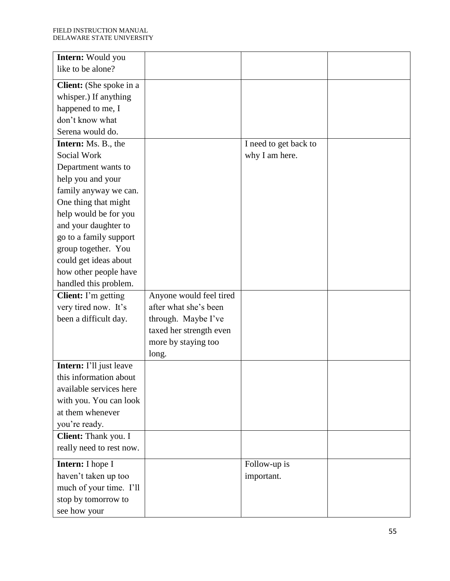| <b>Intern:</b> Would you       |                         |                       |  |
|--------------------------------|-------------------------|-----------------------|--|
| like to be alone?              |                         |                       |  |
| <b>Client:</b> (She spoke in a |                         |                       |  |
| whisper.) If anything          |                         |                       |  |
| happened to me, I              |                         |                       |  |
| don't know what                |                         |                       |  |
| Serena would do.               |                         |                       |  |
| Intern: Ms. B., the            |                         | I need to get back to |  |
| Social Work                    |                         | why I am here.        |  |
| Department wants to            |                         |                       |  |
| help you and your              |                         |                       |  |
| family anyway we can.          |                         |                       |  |
| One thing that might           |                         |                       |  |
| help would be for you          |                         |                       |  |
| and your daughter to           |                         |                       |  |
| go to a family support         |                         |                       |  |
| group together. You            |                         |                       |  |
| could get ideas about          |                         |                       |  |
| how other people have          |                         |                       |  |
| handled this problem.          |                         |                       |  |
| Client: I'm getting            | Anyone would feel tired |                       |  |
| very tired now. It's           | after what she's been   |                       |  |
| been a difficult day.          | through. Maybe I've     |                       |  |
|                                | taxed her strength even |                       |  |
|                                | more by staying too     |                       |  |
|                                | long.                   |                       |  |
| Intern: I'll just leave        |                         |                       |  |
| this information about         |                         |                       |  |
| available services here        |                         |                       |  |
| with you. You can look         |                         |                       |  |
| at them whenever               |                         |                       |  |
| you're ready.                  |                         |                       |  |
| Client: Thank you. I           |                         |                       |  |
| really need to rest now.       |                         |                       |  |
| <b>Intern:</b> I hope I        |                         | Follow-up is          |  |
| haven't taken up too           |                         | important.            |  |
| much of your time. I'll        |                         |                       |  |
| stop by tomorrow to            |                         |                       |  |
| see how your                   |                         |                       |  |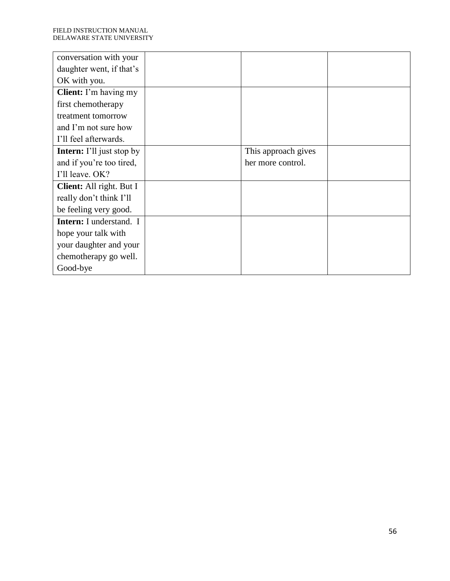| conversation with your           |                     |  |
|----------------------------------|---------------------|--|
|                                  |                     |  |
| daughter went, if that's         |                     |  |
| OK with you.                     |                     |  |
| <b>Client:</b> I'm having my     |                     |  |
| first chemotherapy               |                     |  |
| treatment tomorrow               |                     |  |
| and I'm not sure how             |                     |  |
| I'll feel afterwards.            |                     |  |
| <b>Intern:</b> I'll just stop by | This approach gives |  |
| and if you're too tired,         | her more control.   |  |
| I'll leave. OK?                  |                     |  |
| Client: All right. But I         |                     |  |
| really don't think I'll          |                     |  |
| be feeling very good.            |                     |  |
| <b>Intern:</b> I understand. I   |                     |  |
| hope your talk with              |                     |  |
| your daughter and your           |                     |  |
| chemotherapy go well.            |                     |  |
| Good-bye                         |                     |  |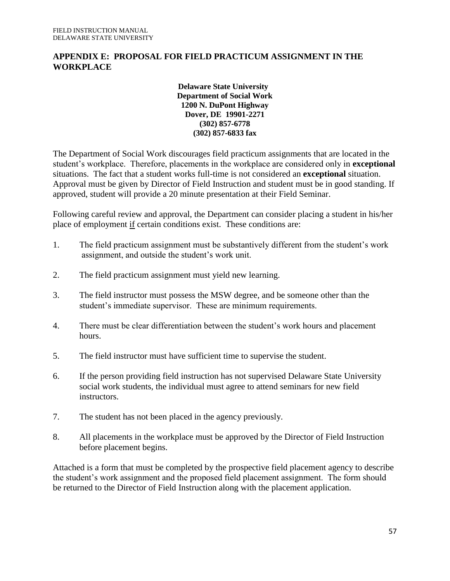# **APPENDIX E: PROPOSAL FOR FIELD PRACTICUM ASSIGNMENT IN THE WORKPLACE**

#### **Delaware State University Department of Social Work 1200 N. DuPont Highway Dover, DE 19901-2271 (302) 857-6778 (302) 857-6833 fax**

The Department of Social Work discourages field practicum assignments that are located in the student's workplace. Therefore, placements in the workplace are considered only in **exceptional**  situations. The fact that a student works full-time is not considered an **exceptional** situation. Approval must be given by Director of Field Instruction and student must be in good standing. If approved, student will provide a 20 minute presentation at their Field Seminar.

Following careful review and approval, the Department can consider placing a student in his/her place of employment if certain conditions exist. These conditions are:

- 1. The field practicum assignment must be substantively different from the student's work assignment, and outside the student's work unit.
- 2. The field practicum assignment must yield new learning.
- 3. The field instructor must possess the MSW degree, and be someone other than the student's immediate supervisor. These are minimum requirements.
- 4. There must be clear differentiation between the student's work hours and placement hours.
- 5. The field instructor must have sufficient time to supervise the student.
- 6. If the person providing field instruction has not supervised Delaware State University social work students, the individual must agree to attend seminars for new field instructors.
- 7. The student has not been placed in the agency previously.
- 8. All placements in the workplace must be approved by the Director of Field Instruction before placement begins.

Attached is a form that must be completed by the prospective field placement agency to describe the student's work assignment and the proposed field placement assignment. The form should be returned to the Director of Field Instruction along with the placement application.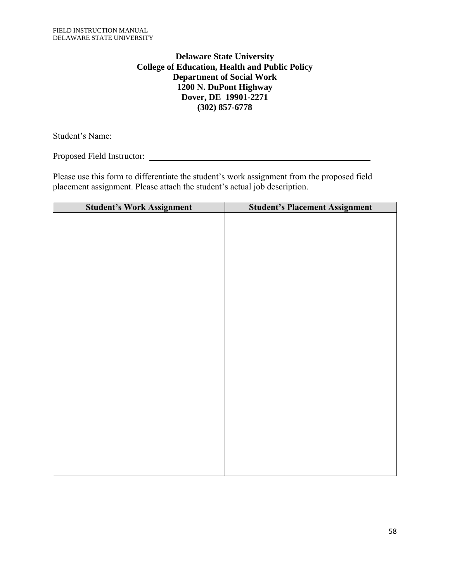#### **Delaware State University College of Education, Health and Public Policy Department of Social Work 1200 N. DuPont Highway Dover, DE 19901-2271 (302) 857-6778**

Student's Name:

Proposed Field Instructor:

Please use this form to differentiate the student's work assignment from the proposed field placement assignment. Please attach the student's actual job description.

| <b>Student's Work Assignment</b> | <b>Student's Placement Assignment</b> |
|----------------------------------|---------------------------------------|
|                                  |                                       |
|                                  |                                       |
|                                  |                                       |
|                                  |                                       |
|                                  |                                       |
|                                  |                                       |
|                                  |                                       |
|                                  |                                       |
|                                  |                                       |
|                                  |                                       |
|                                  |                                       |
|                                  |                                       |
|                                  |                                       |
|                                  |                                       |
|                                  |                                       |
|                                  |                                       |
|                                  |                                       |
|                                  |                                       |
|                                  |                                       |
|                                  |                                       |
|                                  |                                       |
|                                  |                                       |
|                                  |                                       |
|                                  |                                       |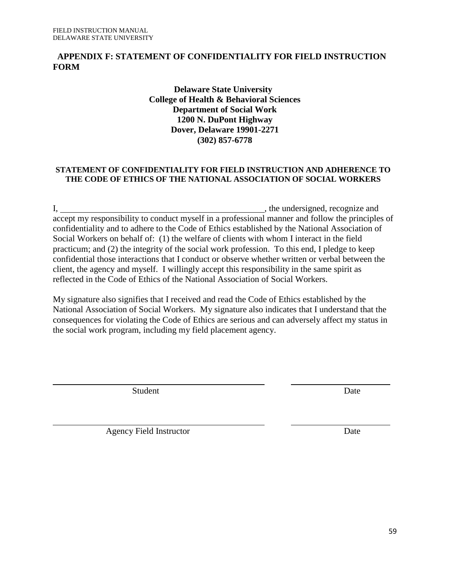# **APPENDIX F: STATEMENT OF CONFIDENTIALITY FOR FIELD INSTRUCTION FORM**

**Delaware State University College of Health & Behavioral Sciences Department of Social Work 1200 N. DuPont Highway Dover, Delaware 19901-2271 (302) 857-6778**

#### **STATEMENT OF CONFIDENTIALITY FOR FIELD INSTRUCTION AND ADHERENCE TO THE CODE OF ETHICS OF THE NATIONAL ASSOCIATION OF SOCIAL WORKERS**

I, the undersigned, recognize and accept my responsibility to conduct myself in a professional manner and follow the principles of confidentiality and to adhere to the Code of Ethics established by the National Association of Social Workers on behalf of: (1) the welfare of clients with whom I interact in the field practicum; and (2) the integrity of the social work profession. To this end, I pledge to keep confidential those interactions that I conduct or observe whether written or verbal between the client, the agency and myself. I willingly accept this responsibility in the same spirit as reflected in the Code of Ethics of the National Association of Social Workers.

My signature also signifies that I received and read the Code of Ethics established by the National Association of Social Workers. My signature also indicates that I understand that the consequences for violating the Code of Ethics are serious and can adversely affect my status in the social work program, including my field placement agency.

Student Date

Agency Field Instructor Date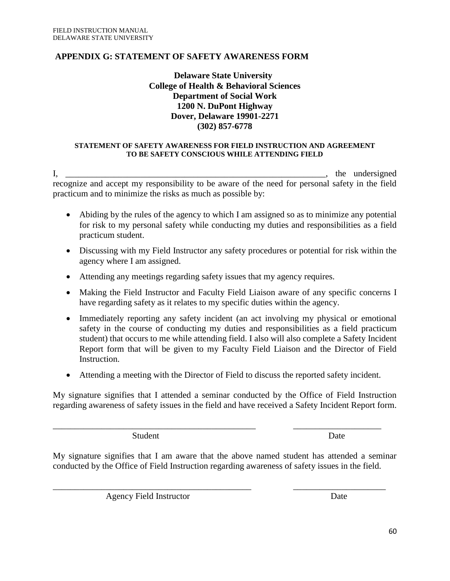#### **APPENDIX G: STATEMENT OF SAFETY AWARENESS FORM**

#### **Delaware State University College of Health & Behavioral Sciences Department of Social Work 1200 N. DuPont Highway Dover, Delaware 19901-2271 (302) 857-6778**

#### **STATEMENT OF SAFETY AWARENESS FOR FIELD INSTRUCTION AND AGREEMENT TO BE SAFETY CONSCIOUS WHILE ATTENDING FIELD**

I, the undersigned recognize and accept my responsibility to be aware of the need for personal safety in the field practicum and to minimize the risks as much as possible by:

- Abiding by the rules of the agency to which I am assigned so as to minimize any potential for risk to my personal safety while conducting my duties and responsibilities as a field practicum student.
- Discussing with my Field Instructor any safety procedures or potential for risk within the agency where I am assigned.
- Attending any meetings regarding safety issues that my agency requires.
- Making the Field Instructor and Faculty Field Liaison aware of any specific concerns I have regarding safety as it relates to my specific duties within the agency.
- Immediately reporting any safety incident (an act involving my physical or emotional safety in the course of conducting my duties and responsibilities as a field practicum student) that occurs to me while attending field. I also will also complete a Safety Incident Report form that will be given to my Faculty Field Liaison and the Director of Field Instruction.
- Attending a meeting with the Director of Field to discuss the reported safety incident.

My signature signifies that I attended a seminar conducted by the Office of Field Instruction regarding awareness of safety issues in the field and have received a Safety Incident Report form.

\_\_\_\_\_\_\_\_\_\_\_\_\_\_\_\_\_\_\_\_\_\_\_\_\_\_\_\_\_\_\_\_\_\_\_\_\_\_\_\_\_\_\_\_\_\_ \_\_\_\_\_\_\_\_\_\_\_\_\_\_\_\_\_\_\_\_

Student Date

My signature signifies that I am aware that the above named student has attended a seminar conducted by the Office of Field Instruction regarding awareness of safety issues in the field.

\_\_\_\_\_\_\_\_\_\_\_\_\_\_\_\_\_\_\_\_\_\_\_\_\_\_\_\_\_\_\_\_\_\_\_\_\_\_\_\_\_\_\_\_\_ \_\_\_\_\_\_\_\_\_\_\_\_\_\_\_\_\_\_\_\_\_

Agency Field Instructor Date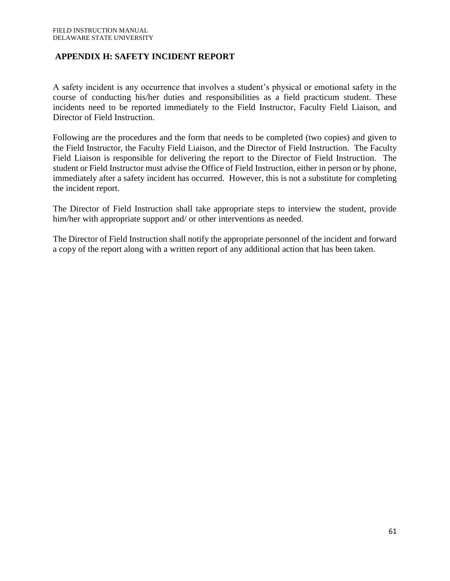# **APPENDIX H: SAFETY INCIDENT REPORT**

A safety incident is any occurrence that involves a student's physical or emotional safety in the course of conducting his/her duties and responsibilities as a field practicum student. These incidents need to be reported immediately to the Field Instructor, Faculty Field Liaison, and Director of Field Instruction.

Following are the procedures and the form that needs to be completed (two copies) and given to the Field Instructor, the Faculty Field Liaison, and the Director of Field Instruction. The Faculty Field Liaison is responsible for delivering the report to the Director of Field Instruction. The student or Field Instructor must advise the Office of Field Instruction, either in person or by phone, immediately after a safety incident has occurred. However, this is not a substitute for completing the incident report.

The Director of Field Instruction shall take appropriate steps to interview the student, provide him/her with appropriate support and/ or other interventions as needed.

The Director of Field Instruction shall notify the appropriate personnel of the incident and forward a copy of the report along with a written report of any additional action that has been taken.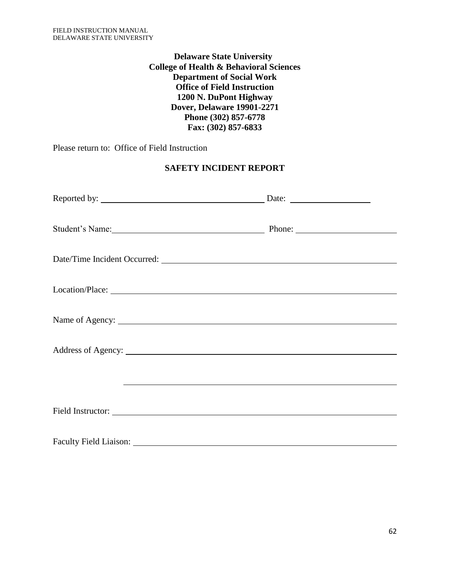**Delaware State University College of Health & Behavioral Sciences Department of Social Work Office of Field Instruction 1200 N. DuPont Highway Dover, Delaware 19901-2271 Phone (302) 857-6778 Fax: (302) 857-6833**

Please return to: Office of Field Instruction

#### **SAFETY INCIDENT REPORT**

| Student's Name: Phone: Phone: Phone:                                                                                   |  |
|------------------------------------------------------------------------------------------------------------------------|--|
|                                                                                                                        |  |
| Location/Place:                                                                                                        |  |
|                                                                                                                        |  |
|                                                                                                                        |  |
| <u> 1999 - Johann Stoff, deutscher Stoffen und der Stoffen und der Stoffen und der Stoffen und der Stoffen und der</u> |  |
|                                                                                                                        |  |
|                                                                                                                        |  |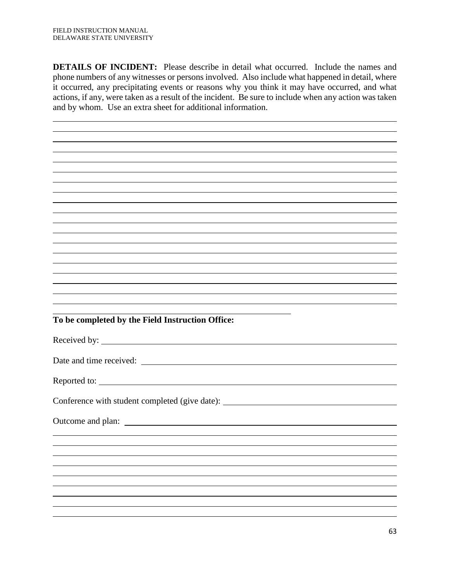**DETAILS OF INCIDENT:** Please describe in detail what occurred. Include the names and phone numbers of any witnesses or persons involved. Also include what happened in detail, where it occurred, any precipitating events or reasons why you think it may have occurred, and what actions, if any, were taken as a result of the incident. Be sure to include when any action was taken and by whom. Use an extra sheet for additional information.

**To be completed by the Field Instruction Office:**

Received by:

| $\frac{1}{2}$                                                                    |
|----------------------------------------------------------------------------------|
|                                                                                  |
|                                                                                  |
| Reported to:                                                                     |
| Conference with student completed (give date): _________________________________ |
| <u> 1989 - Andrea Andrew Maria (h. 1989).</u>                                    |
|                                                                                  |
| <u> 2000 - Andrea Andrewski, amerikansk politik (d. 1982)</u>                    |
|                                                                                  |
|                                                                                  |
|                                                                                  |